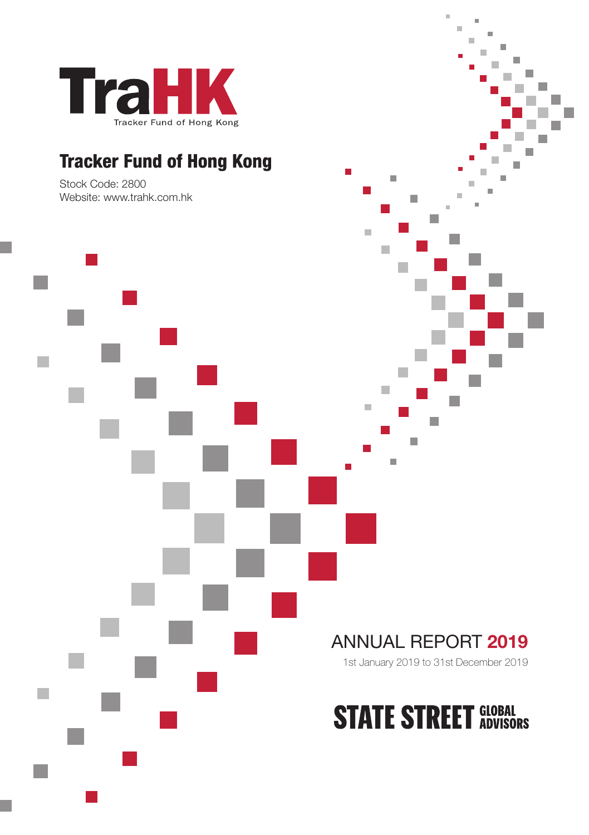

# **Tracker Fund of Hong Kong**

Stock Code: 2800 Website: www.trahk.com.hk



1st January 2019 to 31st December 2019

i.

 $\overline{a}$ 

Î. T.

T. m,

П

m.

 $\Box$ 

m.

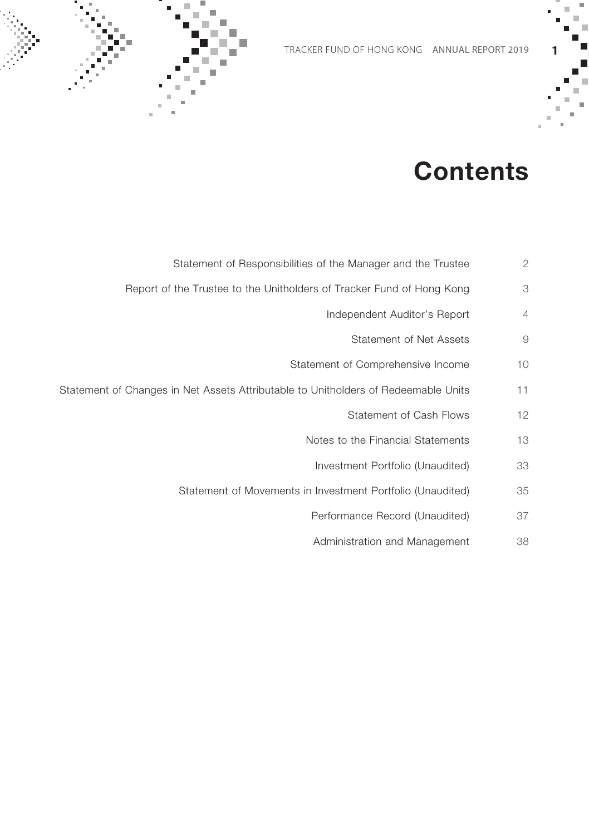

# **Contents**

- Statement of Responsibilities of the Manager and the Trustee 2
- Report of the Trustee to the Unitholders of Tracker Fund of Hong Kong 3
	- Independent Auditor's Report 4
	- Statement of Net Assets 9
	- Statement of Comprehensive Income 10
- Statement of Changes in Net Assets Attributable to Unitholders of Redeemable Units 11
	- Statement of Cash Flows 12
	- Notes to the Financial Statements 13
		- Investment Portfolio (Unaudited) 33
	- Statement of Movements in Investment Portfolio (Unaudited) 35
		- Performance Record (Unaudited) 37
		- Administration and Management 38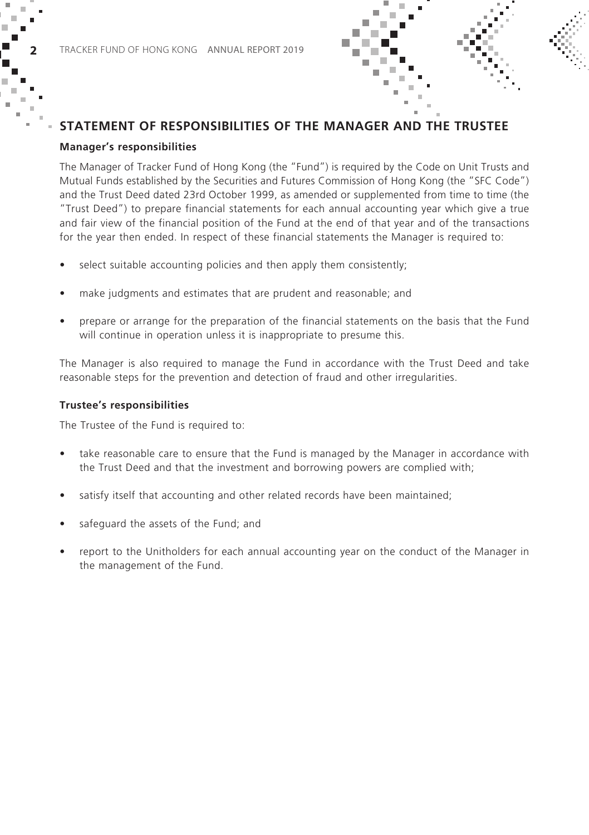



#### **Manager's responsibilities**

The Manager of Tracker Fund of Hong Kong (the "Fund") is required by the Code on Unit Trusts and Mutual Funds established by the Securities and Futures Commission of Hong Kong (the "SFC Code") and the Trust Deed dated 23rd October 1999, as amended or supplemented from time to time (the "Trust Deed") to prepare financial statements for each annual accounting year which give a true and fair view of the financial position of the Fund at the end of that year and of the transactions for the year then ended. In respect of these financial statements the Manager is required to:

- select suitable accounting policies and then apply them consistently;
- make judgments and estimates that are prudent and reasonable; and
- prepare or arrange for the preparation of the financial statements on the basis that the Fund will continue in operation unless it is inappropriate to presume this.

The Manager is also required to manage the Fund in accordance with the Trust Deed and take reasonable steps for the prevention and detection of fraud and other irregularities.

#### **Trustee's responsibilities**

The Trustee of the Fund is required to:

- take reasonable care to ensure that the Fund is managed by the Manager in accordance with the Trust Deed and that the investment and borrowing powers are complied with;
- satisfy itself that accounting and other related records have been maintained;
- safeguard the assets of the Fund; and
- report to the Unitholders for each annual accounting year on the conduct of the Manager in the management of the Fund.

×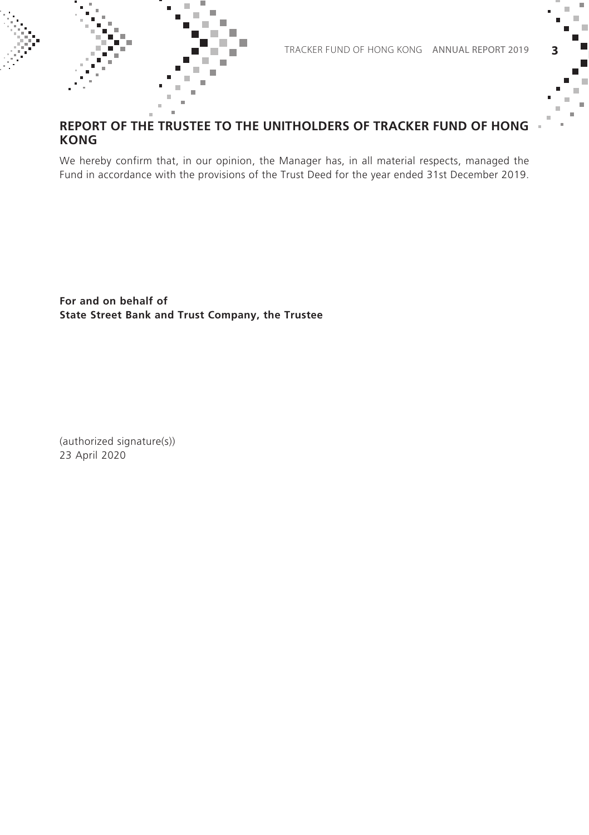

### **REPORT OF THE TRUSTEE TO THE UNITHOLDERS OF TRACKER FUND OF HONG KONG**

We hereby confirm that, in our opinion, the Manager has, in all material respects, managed the Fund in accordance with the provisions of the Trust Deed for the year ended 31st December 2019.

**For and on behalf of State Street Bank and Trust Company, the Trustee**

(authorized signature(s)) 23 April 2020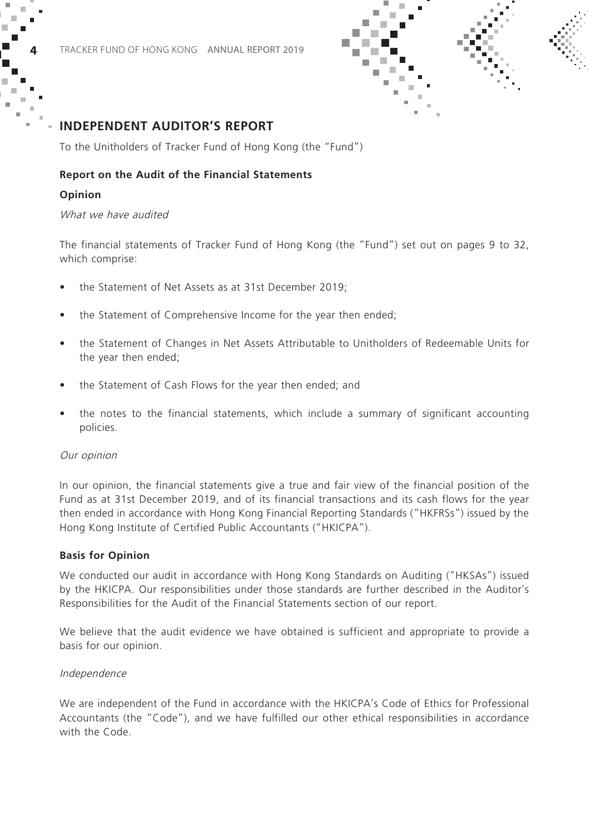

To the Unitholders of Tracker Fund of Hong Kong (the "Fund")

#### **Report on the Audit of the Financial Statements**

#### **Opinion**

#### What we have audited

The financial statements of Tracker Fund of Hong Kong (the "Fund") set out on pages 9 to 32, which comprise:

- the Statement of Net Assets as at 31st December 2019;
- the Statement of Comprehensive Income for the year then ended;
- the Statement of Changes in Net Assets Attributable to Unitholders of Redeemable Units for the year then ended;
- the Statement of Cash Flows for the year then ended; and
- the notes to the financial statements, which include a summary of significant accounting policies.

#### Our opinion

In our opinion, the financial statements give a true and fair view of the financial position of the Fund as at 31st December 2019, and of its financial transactions and its cash flows for the year then ended in accordance with Hong Kong Financial Reporting Standards ("HKFRSs") issued by the Hong Kong Institute of Certified Public Accountants ("HKICPA").

#### **Basis for Opinion**

We conducted our audit in accordance with Hong Kong Standards on Auditing ("HKSAs") issued by the HKICPA. Our responsibilities under those standards are further described in the Auditor's Responsibilities for the Audit of the Financial Statements section of our report.

We believe that the audit evidence we have obtained is sufficient and appropriate to provide a basis for our opinion.

#### Independence

We are independent of the Fund in accordance with the HKICPA's Code of Ethics for Professional Accountants (the "Code"), and we have fulfilled our other ethical responsibilities in accordance with the Code.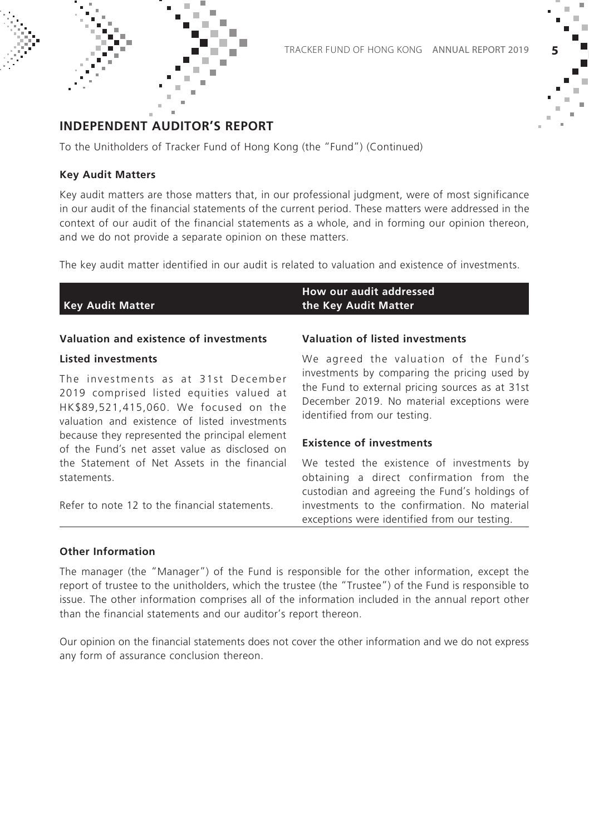

To the Unitholders of Tracker Fund of Hong Kong (the "Fund") (Continued)

#### **Key Audit Matters**

Key audit matters are those matters that, in our professional judgment, were of most significance in our audit of the financial statements of the current period. These matters were addressed in the context of our audit of the financial statements as a whole, and in forming our opinion thereon, and we do not provide a separate opinion on these matters.

The key audit matter identified in our audit is related to valuation and existence of investments.

| <b>Key Audit Matter</b>                                                                                                                                                   | How our audit addressed<br>the Key Audit Matter                                                                                                                               |
|---------------------------------------------------------------------------------------------------------------------------------------------------------------------------|-------------------------------------------------------------------------------------------------------------------------------------------------------------------------------|
| Valuation and existence of investments                                                                                                                                    | Valuation of listed investments                                                                                                                                               |
| Listed investments                                                                                                                                                        | We agreed the valuation of the Fund's                                                                                                                                         |
| The investments as at 31st December<br>2019 comprised listed equities valued at<br>HK\$89,521,415,060. We focused on the<br>valuation and existence of listed investments | investments by comparing the pricing used by<br>the Fund to external pricing sources as at 31st<br>December 2019. No material exceptions were<br>identified from our testing. |
| because they represented the principal element<br>of the Fund's net asset value as disclosed on                                                                           | <b>Existence of investments</b>                                                                                                                                               |
| the Statement of Net Assets in the financial<br>statements.                                                                                                               | We tested the existence of investments by<br>obtaining a direct confirmation from the<br>custodian and agreeing the Fund's holdings of                                        |

Refer to note 12 to the financial statements.

investments to the confirmation. No material exceptions were identified from our testing.

#### **Other Information**

The manager (the "Manager") of the Fund is responsible for the other information, except the report of trustee to the unitholders, which the trustee (the "Trustee") of the Fund is responsible to issue. The other information comprises all of the information included in the annual report other than the financial statements and our auditor's report thereon.

Our opinion on the financial statements does not cover the other information and we do not express any form of assurance conclusion thereon.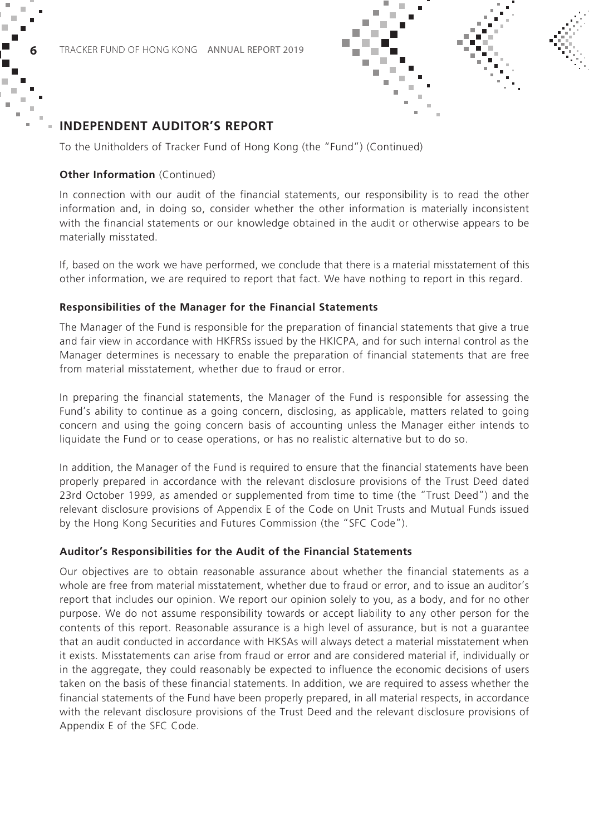To the Unitholders of Tracker Fund of Hong Kong (the "Fund") (Continued)

#### **Other Information** (Continued)

In connection with our audit of the financial statements, our responsibility is to read the other information and, in doing so, consider whether the other information is materially inconsistent with the financial statements or our knowledge obtained in the audit or otherwise appears to be materially misstated.

If, based on the work we have performed, we conclude that there is a material misstatement of this other information, we are required to report that fact. We have nothing to report in this regard.

#### **Responsibilities of the Manager for the Financial Statements**

The Manager of the Fund is responsible for the preparation of financial statements that give a true and fair view in accordance with HKFRSs issued by the HKICPA, and for such internal control as the Manager determines is necessary to enable the preparation of financial statements that are free from material misstatement, whether due to fraud or error.

In preparing the financial statements, the Manager of the Fund is responsible for assessing the Fund's ability to continue as a going concern, disclosing, as applicable, matters related to going concern and using the going concern basis of accounting unless the Manager either intends to liquidate the Fund or to cease operations, or has no realistic alternative but to do so.

In addition, the Manager of the Fund is required to ensure that the financial statements have been properly prepared in accordance with the relevant disclosure provisions of the Trust Deed dated 23rd October 1999, as amended or supplemented from time to time (the "Trust Deed") and the relevant disclosure provisions of Appendix E of the Code on Unit Trusts and Mutual Funds issued by the Hong Kong Securities and Futures Commission (the "SFC Code").

#### **Auditor's Responsibilities for the Audit of the Financial Statements**

Our objectives are to obtain reasonable assurance about whether the financial statements as a whole are free from material misstatement, whether due to fraud or error, and to issue an auditor's report that includes our opinion. We report our opinion solely to you, as a body, and for no other purpose. We do not assume responsibility towards or accept liability to any other person for the contents of this report. Reasonable assurance is a high level of assurance, but is not a guarantee that an audit conducted in accordance with HKSAs will always detect a material misstatement when it exists. Misstatements can arise from fraud or error and are considered material if, individually or in the aggregate, they could reasonably be expected to influence the economic decisions of users taken on the basis of these financial statements. In addition, we are required to assess whether the financial statements of the Fund have been properly prepared, in all material respects, in accordance with the relevant disclosure provisions of the Trust Deed and the relevant disclosure provisions of Appendix E of the SFC Code.

×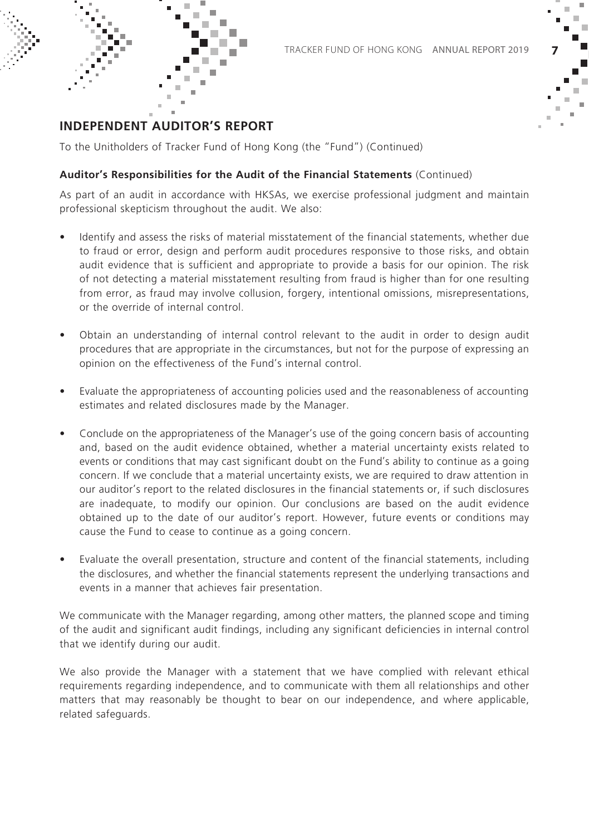

To the Unitholders of Tracker Fund of Hong Kong (the "Fund") (Continued)

#### **Auditor's Responsibilities for the Audit of the Financial Statements** (Continued)

As part of an audit in accordance with HKSAs, we exercise professional judgment and maintain professional skepticism throughout the audit. We also:

- Identify and assess the risks of material misstatement of the financial statements, whether due to fraud or error, design and perform audit procedures responsive to those risks, and obtain audit evidence that is sufficient and appropriate to provide a basis for our opinion. The risk of not detecting a material misstatement resulting from fraud is higher than for one resulting from error, as fraud may involve collusion, forgery, intentional omissions, misrepresentations, or the override of internal control.
- Obtain an understanding of internal control relevant to the audit in order to design audit procedures that are appropriate in the circumstances, but not for the purpose of expressing an opinion on the effectiveness of the Fund's internal control.
- Evaluate the appropriateness of accounting policies used and the reasonableness of accounting estimates and related disclosures made by the Manager.
- Conclude on the appropriateness of the Manager's use of the going concern basis of accounting and, based on the audit evidence obtained, whether a material uncertainty exists related to events or conditions that may cast significant doubt on the Fund's ability to continue as a going concern. If we conclude that a material uncertainty exists, we are required to draw attention in our auditor's report to the related disclosures in the financial statements or, if such disclosures are inadequate, to modify our opinion. Our conclusions are based on the audit evidence obtained up to the date of our auditor's report. However, future events or conditions may cause the Fund to cease to continue as a going concern.
- Evaluate the overall presentation, structure and content of the financial statements, including the disclosures, and whether the financial statements represent the underlying transactions and events in a manner that achieves fair presentation.

We communicate with the Manager regarding, among other matters, the planned scope and timing of the audit and significant audit findings, including any significant deficiencies in internal control that we identify during our audit.

We also provide the Manager with a statement that we have complied with relevant ethical requirements regarding independence, and to communicate with them all relationships and other matters that may reasonably be thought to bear on our independence, and where applicable, related safeguards.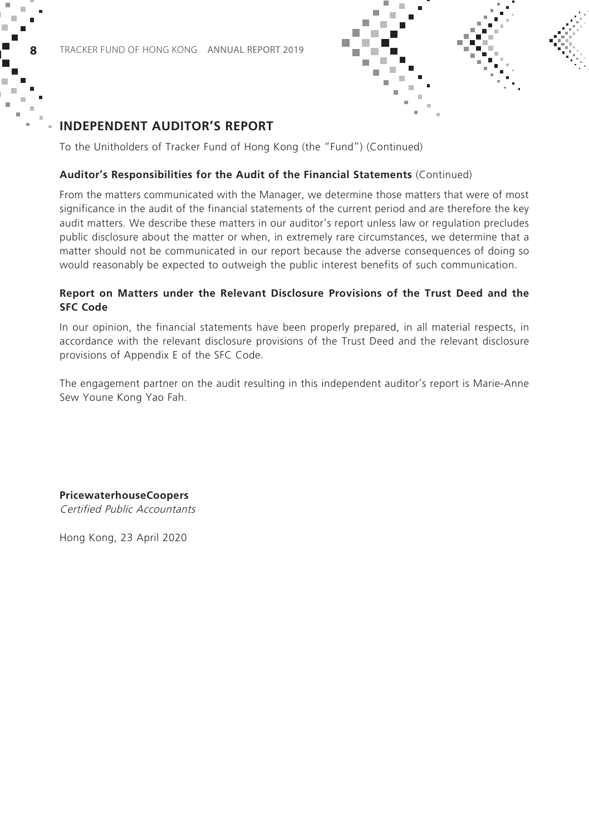

×

To the Unitholders of Tracker Fund of Hong Kong (the "Fund") (Continued)

#### **Auditor's Responsibilities for the Audit of the Financial Statements** (Continued)

From the matters communicated with the Manager, we determine those matters that were of most significance in the audit of the financial statements of the current period and are therefore the key audit matters. We describe these matters in our auditor's report unless law or regulation precludes public disclosure about the matter or when, in extremely rare circumstances, we determine that a matter should not be communicated in our report because the adverse consequences of doing so would reasonably be expected to outweigh the public interest benefits of such communication.

### **Report on Matters under the Relevant Disclosure Provisions of the Trust Deed and the SFC Code**

In our opinion, the financial statements have been properly prepared, in all material respects, in accordance with the relevant disclosure provisions of the Trust Deed and the relevant disclosure provisions of Appendix E of the SFC Code.

The engagement partner on the audit resulting in this independent auditor's report is Marie-Anne Sew Youne Kong Yao Fah.

### **PricewaterhouseCoopers**

Certified Public Accountants

Hong Kong, 23 April 2020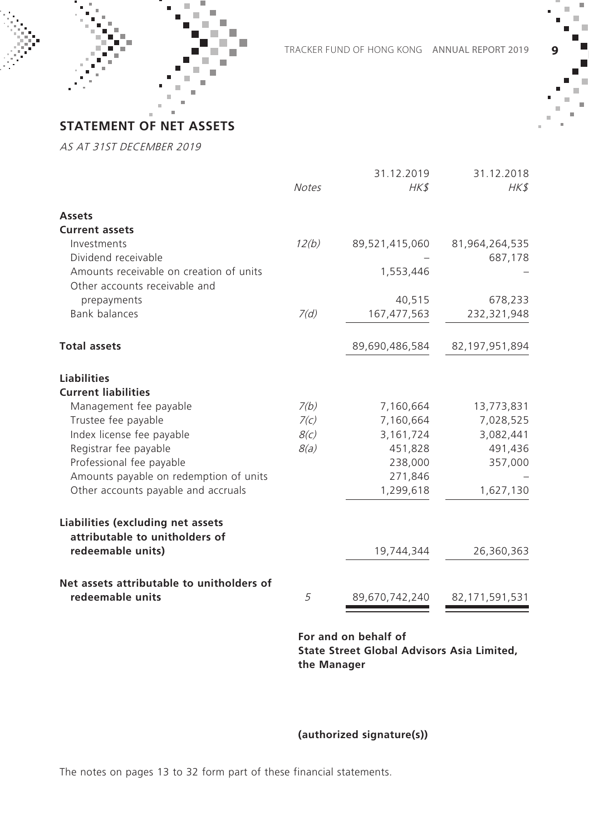

Tracker fund of hong kong ANNUAL REPORT 2019 **9**

**STATEMENT OF NET ASSETS**

AS AT 31ST DECEMBER 2019

|                                                                     | <b>Notes</b> | 31.12.2019<br>HK\$ | 31.12.2018<br>HK\$ |
|---------------------------------------------------------------------|--------------|--------------------|--------------------|
|                                                                     |              |                    |                    |
| <b>Assets</b>                                                       |              |                    |                    |
| <b>Current assets</b>                                               |              |                    |                    |
| Investments                                                         | 12(b)        | 89,521,415,060     | 81,964,264,535     |
| Dividend receivable                                                 |              |                    | 687,178            |
| Amounts receivable on creation of units                             |              | 1,553,446          |                    |
| Other accounts receivable and                                       |              |                    |                    |
| prepayments                                                         |              | 40,515             | 678,233            |
| <b>Bank balances</b>                                                | 7(d)         | 167,477,563        | 232,321,948        |
| <b>Total assets</b>                                                 |              | 89,690,486,584     | 82,197,951,894     |
| <b>Liabilities</b>                                                  |              |                    |                    |
| <b>Current liabilities</b>                                          |              |                    |                    |
| Management fee payable                                              | 7(b)         | 7,160,664          | 13,773,831         |
| Trustee fee payable                                                 | 7(c)         | 7,160,664          | 7,028,525          |
| Index license fee payable                                           | 8(c)         | 3,161,724          | 3,082,441          |
| Registrar fee payable                                               | 8(a)         | 451,828            | 491,436            |
| Professional fee payable                                            |              | 238,000            | 357,000            |
| Amounts payable on redemption of units                              |              | 271,846            |                    |
| Other accounts payable and accruals                                 |              | 1,299,618          | 1,627,130          |
| Liabilities (excluding net assets<br>attributable to unitholders of |              |                    |                    |
| redeemable units)                                                   |              | 19,744,344         | 26,360,363         |
| Net assets attributable to unitholders of                           |              |                    |                    |
| redeemable units                                                    | 5            | 89,670,742,240     | 82,171,591,531     |

**For and on behalf of State Street Global Advisors Asia Limited, the Manager**

**(authorized signature(s))**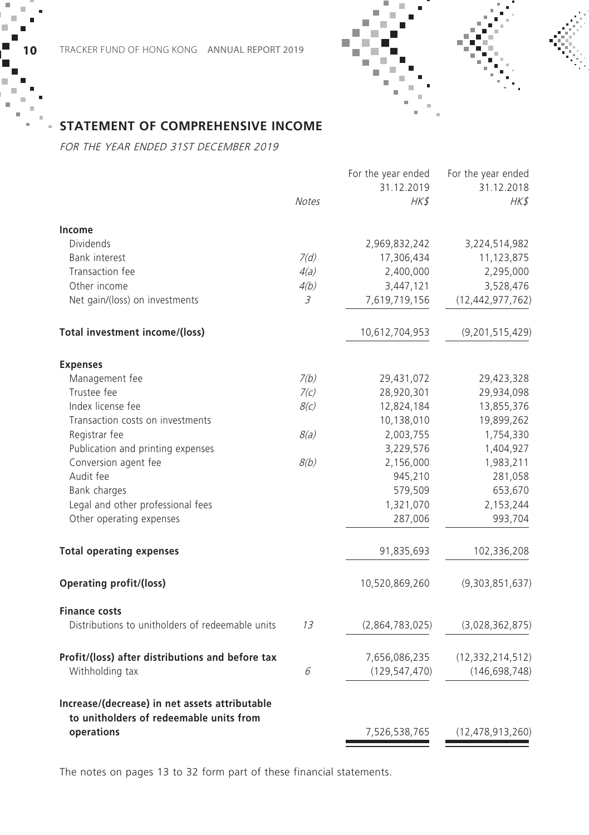



### **STATEMENT OF COMPREHENSIVE INCOME**

FOR THE YEAR ENDED 31ST DECEMBER 2019

|              | For the year ended | For the year ended  |
|--------------|--------------------|---------------------|
|              | 31.12.2019         | 31.12.2018          |
| <b>Notes</b> | HK\$               | HK\$                |
|              |                    |                     |
|              | 2,969,832,242      | 3,224,514,982       |
| 7(d)         | 17,306,434         | 11,123,875          |
| 4(a)         | 2,400,000          | 2,295,000           |
| 4(b)         | 3,447,121          | 3,528,476           |
| 3            | 7,619,719,156      | (12, 442, 977, 762) |
|              | 10,612,704,953     | (9, 201, 515, 429)  |
|              |                    |                     |
| 7(b)         | 29,431,072         | 29,423,328          |
| 7(c)         | 28,920,301         | 29,934,098          |
| 8(c)         | 12,824,184         | 13,855,376          |
|              | 10,138,010         | 19,899,262          |
| 8(a)         | 2,003,755          | 1,754,330           |
|              | 3,229,576          | 1,404,927           |
| 8(b)         | 2,156,000          | 1,983,211           |
|              | 945,210            | 281,058             |
|              | 579,509            | 653,670             |
|              | 1,321,070          | 2,153,244           |
|              | 287,006            | 993,704             |
|              | 91,835,693         | 102,336,208         |
|              | 10,520,869,260     | (9,303,851,637)     |
|              |                    |                     |
| 1.3          | (2,864,783,025)    | (3,028,362,875)     |
|              | 7,656,086,235      | (12, 332, 214, 512) |
| 6            | (129, 547, 470)    | (146, 698, 748)     |
|              |                    |                     |
|              | 7,526,538,765      | (12, 478, 913, 260) |
|              |                    |                     |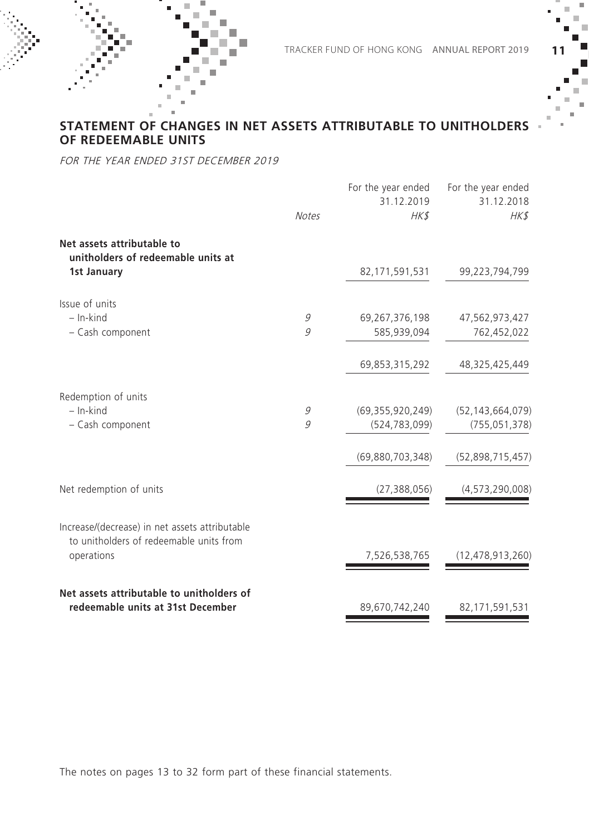### **STATEMENT OF CHANGES IN NET ASSETS ATTRIBUTABLE TO UNITHOLDERS OF REDEEMABLE UNITS**

FOR THE YEAR ENDED 31ST DECEMBER 2019

|                                                                                           | <b>Notes</b> | For the year ended<br>31.12.2019<br>HK\$ | For the year ended<br>31.12.2018<br>HK\$ |
|-------------------------------------------------------------------------------------------|--------------|------------------------------------------|------------------------------------------|
| Net assets attributable to<br>unitholders of redeemable units at                          |              |                                          |                                          |
| 1st January                                                                               |              | 82,171,591,531                           | 99,223,794,799                           |
| Issue of units                                                                            |              |                                          |                                          |
| $-$ In-kind                                                                               | 9            | 69,267,376,198                           | 47,562,973,427                           |
| - Cash component                                                                          | 9            | 585,939,094                              | 762,452,022                              |
|                                                                                           |              | 69,853,315,292                           | 48,325,425,449                           |
| Redemption of units                                                                       |              |                                          |                                          |
| $-$ In-kind                                                                               | 9            | (69, 355, 920, 249)                      | (52, 143, 664, 079)                      |
| - Cash component                                                                          | 9            | (524, 783, 099)                          | (755, 051, 378)                          |
|                                                                                           |              | (69,880,703,348)                         | (52,898,715,457)                         |
| Net redemption of units                                                                   |              | (27, 388, 056)                           | (4, 573, 290, 008)                       |
| Increase/(decrease) in net assets attributable<br>to unitholders of redeemable units from |              |                                          |                                          |
| operations                                                                                |              | 7,526,538,765                            | (12, 478, 913, 260)                      |
| Net assets attributable to unitholders of                                                 |              |                                          |                                          |
| redeemable units at 31st December                                                         |              | 89,670,742,240                           | 82,171,591,531                           |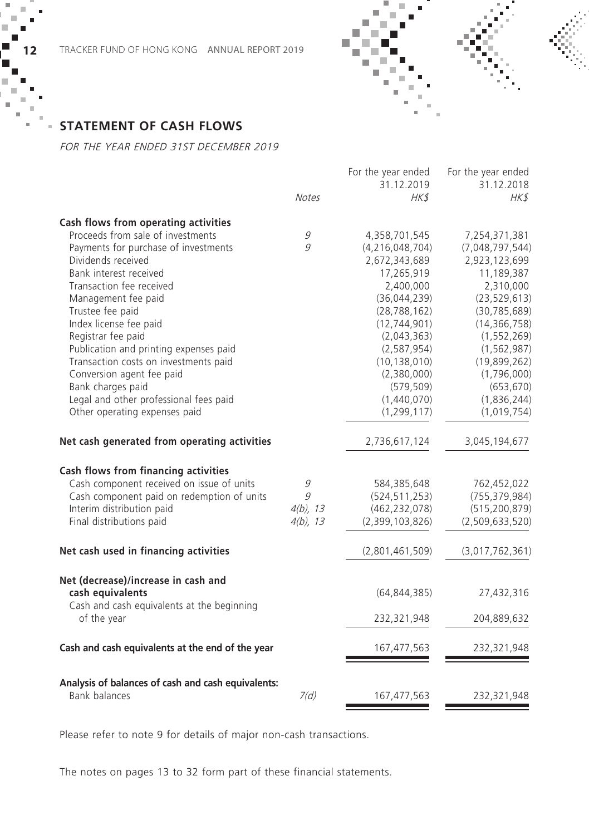

### **STATEMENT OF CASH FLOWS**

FOR THE YEAR ENDED 31ST DECEMBER 2019

|                                                                |              | For the year ended<br>31.12.2019 | For the year ended<br>31.12.2018 |
|----------------------------------------------------------------|--------------|----------------------------------|----------------------------------|
|                                                                | <b>Notes</b> | HK\$                             | HK\$                             |
| Cash flows from operating activities                           |              |                                  |                                  |
| Proceeds from sale of investments                              | 9            | 4,358,701,545                    | 7,254,371,381                    |
| Payments for purchase of investments                           | 9            | (4, 216, 048, 704)               | (7,048,797,544)                  |
| Dividends received                                             |              | 2,672,343,689                    | 2,923,123,699                    |
| Bank interest received                                         |              | 17,265,919                       | 11,189,387                       |
| Transaction fee received                                       |              | 2,400,000                        | 2,310,000                        |
| Management fee paid                                            |              | (36,044,239)                     | (23, 529, 613)                   |
| Trustee fee paid                                               |              | (28, 788, 162)                   | (30, 785, 689)                   |
| Index license fee paid                                         |              | (12, 744, 901)                   | (14, 366, 758)                   |
| Registrar fee paid                                             |              | (2,043,363)                      | (1, 552, 269)                    |
| Publication and printing expenses paid                         |              | (2, 587, 954)                    | (1, 562, 987)                    |
| Transaction costs on investments paid                          |              | (10, 138, 010)                   | (19,899,262)                     |
| Conversion agent fee paid                                      |              | (2,380,000)                      | (1,796,000)                      |
| Bank charges paid                                              |              | (579, 509)                       | (653, 670)                       |
| Legal and other professional fees paid                         |              | (1,440,070)                      | (1,836,244)                      |
| Other operating expenses paid                                  |              | (1, 299, 117)                    | (1,019,754)                      |
| Net cash generated from operating activities                   |              | 2,736,617,124                    | 3,045,194,677                    |
| Cash flows from financing activities                           |              |                                  |                                  |
| Cash component received on issue of units                      | 9            | 584,385,648                      | 762,452,022                      |
| Cash component paid on redemption of units                     | 9            | (524, 511, 253)                  | (755, 379, 984)                  |
| Interim distribution paid                                      | $4(b)$ , 13  | (462, 232, 078)                  | (515, 200, 879)                  |
| Final distributions paid                                       | $4(b)$ , 13  | (2,399,103,826)                  | (2,509,633,520)                  |
| Net cash used in financing activities                          |              | (2,801,461,509)                  | (3,017,762,361)                  |
| Net (decrease)/increase in cash and                            |              |                                  |                                  |
| cash equivalents<br>Cash and cash equivalents at the beginning |              | (64, 844, 385)                   | 27,432,316                       |
| of the year                                                    |              | 232,321,948                      | 204,889,632                      |
| Cash and cash equivalents at the end of the year               |              | 167,477,563                      | 232,321,948                      |
| Analysis of balances of cash and cash equivalents:             |              |                                  |                                  |
| <b>Bank balances</b>                                           | 7(d)         | 167,477,563                      | 232,321,948                      |

Please refer to note 9 for details of major non-cash transactions.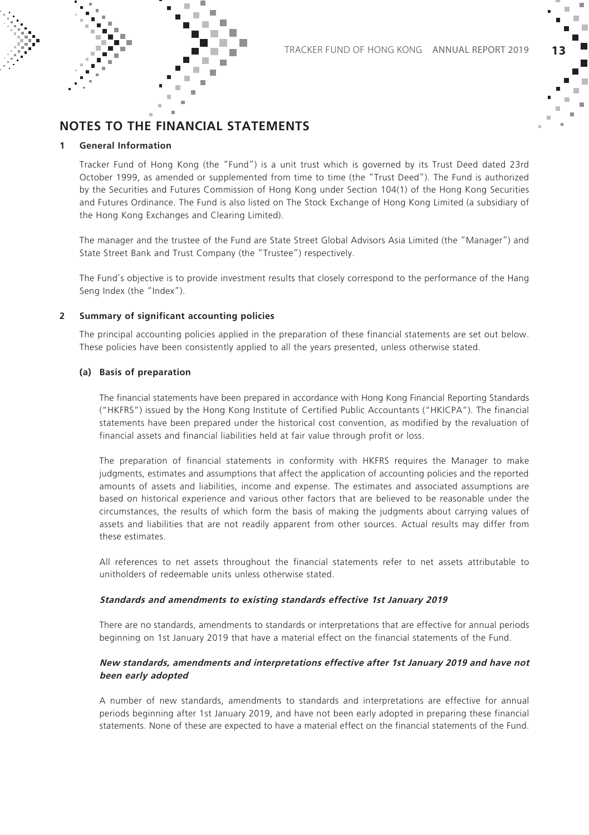

### **NOTES TO THE FINANCIAL STATEMENTS**

#### **1 General Information**

Tracker Fund of Hong Kong (the "Fund") is a unit trust which is governed by its Trust Deed dated 23rd October 1999, as amended or supplemented from time to time (the "Trust Deed"). The Fund is authorized by the Securities and Futures Commission of Hong Kong under Section 104(1) of the Hong Kong Securities and Futures Ordinance. The Fund is also listed on The Stock Exchange of Hong Kong Limited (a subsidiary of the Hong Kong Exchanges and Clearing Limited).

The manager and the trustee of the Fund are State Street Global Advisors Asia Limited (the "Manager") and State Street Bank and Trust Company (the "Trustee") respectively.

The Fund's objective is to provide investment results that closely correspond to the performance of the Hang Seng Index (the "Index").

#### **2 Summary of significant accounting policies**

The principal accounting policies applied in the preparation of these financial statements are set out below. These policies have been consistently applied to all the years presented, unless otherwise stated.

#### **(a) Basis of preparation**

The financial statements have been prepared in accordance with Hong Kong Financial Reporting Standards ("HKFRS") issued by the Hong Kong Institute of Certified Public Accountants ("HKICPA"). The financial statements have been prepared under the historical cost convention, as modified by the revaluation of financial assets and financial liabilities held at fair value through profit or loss.

The preparation of financial statements in conformity with HKFRS requires the Manager to make judgments, estimates and assumptions that affect the application of accounting policies and the reported amounts of assets and liabilities, income and expense. The estimates and associated assumptions are based on historical experience and various other factors that are believed to be reasonable under the circumstances, the results of which form the basis of making the judgments about carrying values of assets and liabilities that are not readily apparent from other sources. Actual results may differ from these estimates.

All references to net assets throughout the financial statements refer to net assets attributable to unitholders of redeemable units unless otherwise stated.

#### **Standards and amendments to existing standards effective 1st January 2019**

There are no standards, amendments to standards or interpretations that are effective for annual periods beginning on 1st January 2019 that have a material effect on the financial statements of the Fund.

#### **New standards, amendments and interpretations effective after 1st January 2019 and have not been early adopted**

A number of new standards, amendments to standards and interpretations are effective for annual periods beginning after 1st January 2019, and have not been early adopted in preparing these financial statements. None of these are expected to have a material effect on the financial statements of the Fund.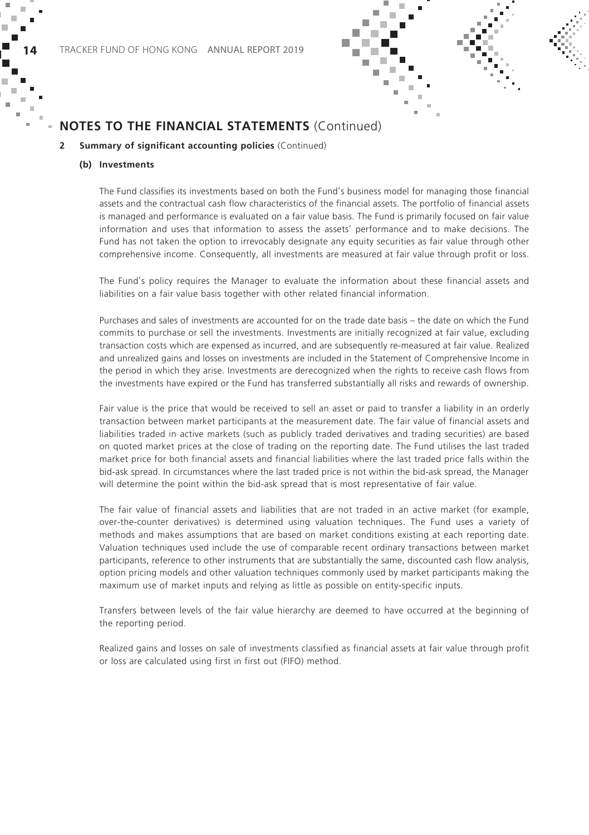

#### **2 Summary of significant accounting policies** (Continued)

#### **(b) Investments**

The Fund classifies its investments based on both the Fund's business model for managing those financial assets and the contractual cash flow characteristics of the financial assets. The portfolio of financial assets is managed and performance is evaluated on a fair value basis. The Fund is primarily focused on fair value information and uses that information to assess the assets' performance and to make decisions. The Fund has not taken the option to irrevocably designate any equity securities as fair value through other comprehensive income. Consequently, all investments are measured at fair value through profit or loss.

The Fund's policy requires the Manager to evaluate the information about these financial assets and liabilities on a fair value basis together with other related financial information.

Purchases and sales of investments are accounted for on the trade date basis – the date on which the Fund commits to purchase or sell the investments. Investments are initially recognized at fair value, excluding transaction costs which are expensed as incurred, and are subsequently re-measured at fair value. Realized and unrealized gains and losses on investments are included in the Statement of Comprehensive Income in the period in which they arise. Investments are derecognized when the rights to receive cash flows from the investments have expired or the Fund has transferred substantially all risks and rewards of ownership.

Fair value is the price that would be received to sell an asset or paid to transfer a liability in an orderly transaction between market participants at the measurement date. The fair value of financial assets and liabilities traded in active markets (such as publicly traded derivatives and trading securities) are based on quoted market prices at the close of trading on the reporting date. The Fund utilises the last traded market price for both financial assets and financial liabilities where the last traded price falls within the bid-ask spread. In circumstances where the last traded price is not within the bid-ask spread, the Manager will determine the point within the bid-ask spread that is most representative of fair value.

The fair value of financial assets and liabilities that are not traded in an active market (for example, over-the-counter derivatives) is determined using valuation techniques. The Fund uses a variety of methods and makes assumptions that are based on market conditions existing at each reporting date. Valuation techniques used include the use of comparable recent ordinary transactions between market participants, reference to other instruments that are substantially the same, discounted cash flow analysis, option pricing models and other valuation techniques commonly used by market participants making the maximum use of market inputs and relying as little as possible on entity-specific inputs.

Transfers between levels of the fair value hierarchy are deemed to have occurred at the beginning of the reporting period.

Realized gains and losses on sale of investments classified as financial assets at fair value through profit or loss are calculated using first in first out (FIFO) method.

× п

п ×  $\sim$ ×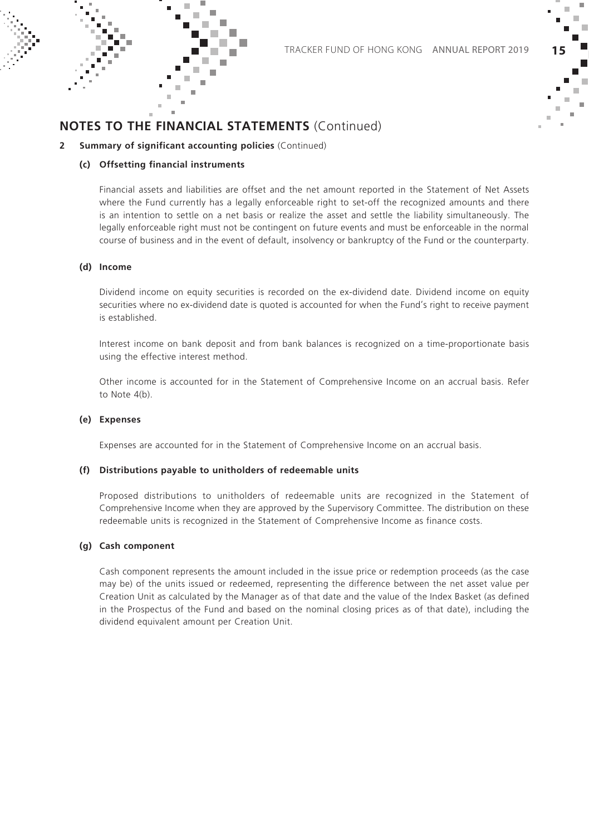

#### **2 Summary of significant accounting policies** (Continued)

#### **(c) Offsetting financial instruments**

Financial assets and liabilities are offset and the net amount reported in the Statement of Net Assets where the Fund currently has a legally enforceable right to set-off the recognized amounts and there is an intention to settle on a net basis or realize the asset and settle the liability simultaneously. The legally enforceable right must not be contingent on future events and must be enforceable in the normal course of business and in the event of default, insolvency or bankruptcy of the Fund or the counterparty.

#### **(d) Income**

Dividend income on equity securities is recorded on the ex-dividend date. Dividend income on equity securities where no ex-dividend date is quoted is accounted for when the Fund's right to receive payment is established.

Interest income on bank deposit and from bank balances is recognized on a time-proportionate basis using the effective interest method.

Other income is accounted for in the Statement of Comprehensive Income on an accrual basis. Refer to Note 4(b).

#### **(e) Expenses**

Expenses are accounted for in the Statement of Comprehensive Income on an accrual basis.

#### **(f) Distributions payable to unitholders of redeemable units**

Proposed distributions to unitholders of redeemable units are recognized in the Statement of Comprehensive Income when they are approved by the Supervisory Committee. The distribution on these redeemable units is recognized in the Statement of Comprehensive Income as finance costs.

#### **(g) Cash component**

Cash component represents the amount included in the issue price or redemption proceeds (as the case may be) of the units issued or redeemed, representing the difference between the net asset value per Creation Unit as calculated by the Manager as of that date and the value of the Index Basket (as defined in the Prospectus of the Fund and based on the nominal closing prices as of that date), including the dividend equivalent amount per Creation Unit.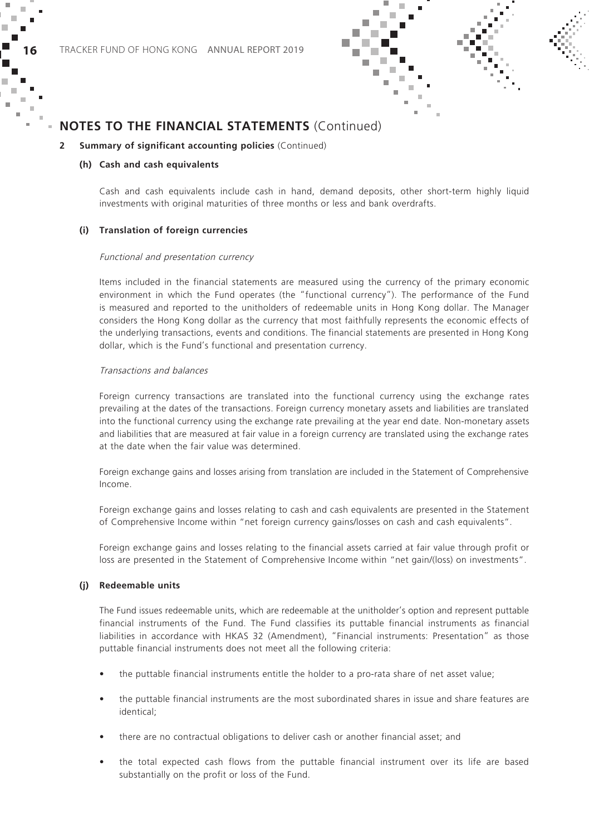

#### **2 Summary of significant accounting policies** (Continued)

#### **(h) Cash and cash equivalents**

Cash and cash equivalents include cash in hand, demand deposits, other short-term highly liquid investments with original maturities of three months or less and bank overdrafts.

#### **(i) Translation of foreign currencies**

#### Functional and presentation currency

Items included in the financial statements are measured using the currency of the primary economic environment in which the Fund operates (the "functional currency"). The performance of the Fund is measured and reported to the unitholders of redeemable units in Hong Kong dollar. The Manager considers the Hong Kong dollar as the currency that most faithfully represents the economic effects of the underlying transactions, events and conditions. The financial statements are presented in Hong Kong dollar, which is the Fund's functional and presentation currency.

#### Transactions and balances

Foreign currency transactions are translated into the functional currency using the exchange rates prevailing at the dates of the transactions. Foreign currency monetary assets and liabilities are translated into the functional currency using the exchange rate prevailing at the year end date. Non-monetary assets and liabilities that are measured at fair value in a foreign currency are translated using the exchange rates at the date when the fair value was determined.

Foreign exchange gains and losses arising from translation are included in the Statement of Comprehensive Income.

Foreign exchange gains and losses relating to cash and cash equivalents are presented in the Statement of Comprehensive Income within "net foreign currency gains/losses on cash and cash equivalents".

Foreign exchange gains and losses relating to the financial assets carried at fair value through profit or loss are presented in the Statement of Comprehensive Income within "net gain/(loss) on investments".

#### **(j) Redeemable units**

The Fund issues redeemable units, which are redeemable at the unitholder's option and represent puttable financial instruments of the Fund. The Fund classifies its puttable financial instruments as financial liabilities in accordance with HKAS 32 (Amendment), "Financial instruments: Presentation" as those puttable financial instruments does not meet all the following criteria:

- the puttable financial instruments entitle the holder to a pro-rata share of net asset value;
- the puttable financial instruments are the most subordinated shares in issue and share features are identical;
- there are no contractual obligations to deliver cash or another financial asset; and
- the total expected cash flows from the puttable financial instrument over its life are based substantially on the profit or loss of the Fund.

× ш

п ×  $\sim$ ×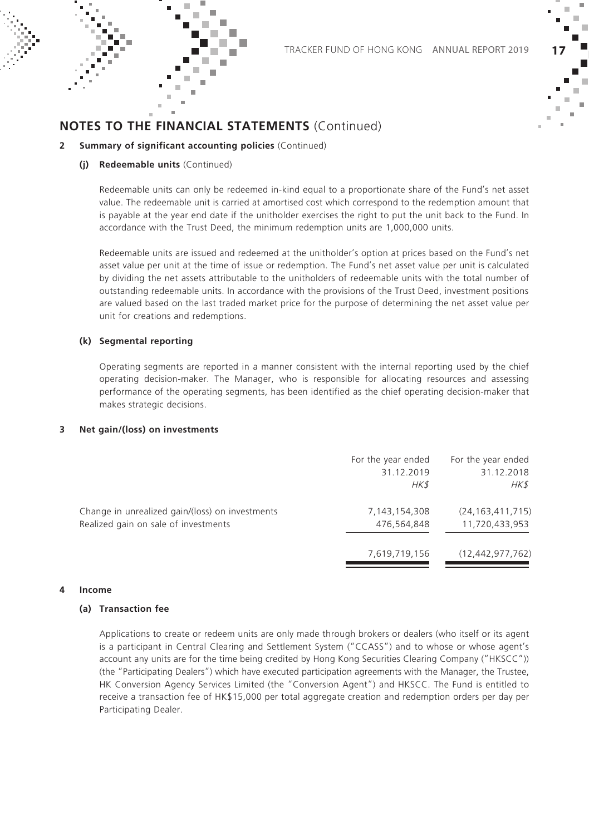

#### **2 Summary of significant accounting policies** (Continued)

#### **(j) Redeemable units** (Continued)

Redeemable units can only be redeemed in-kind equal to a proportionate share of the Fund's net asset value. The redeemable unit is carried at amortised cost which correspond to the redemption amount that is payable at the year end date if the unitholder exercises the right to put the unit back to the Fund. In accordance with the Trust Deed, the minimum redemption units are 1,000,000 units.

Redeemable units are issued and redeemed at the unitholder's option at prices based on the Fund's net asset value per unit at the time of issue or redemption. The Fund's net asset value per unit is calculated by dividing the net assets attributable to the unitholders of redeemable units with the total number of outstanding redeemable units. In accordance with the provisions of the Trust Deed, investment positions are valued based on the last traded market price for the purpose of determining the net asset value per unit for creations and redemptions.

#### **(k) Segmental reporting**

Operating segments are reported in a manner consistent with the internal reporting used by the chief operating decision-maker. The Manager, who is responsible for allocating resources and assessing performance of the operating segments, has been identified as the chief operating decision-maker that makes strategic decisions.

#### **3 Net gain/(loss) on investments**

|                                                                                         | For the year ended<br>31.12.2019<br>$H K$ \$ | For the year ended<br>31.12.2018<br>HK\$ |
|-----------------------------------------------------------------------------------------|----------------------------------------------|------------------------------------------|
| Change in unrealized gain/(loss) on investments<br>Realized gain on sale of investments | 7, 143, 154, 308<br>476,564,848              | (24, 163, 411, 715)<br>11,720,433,953    |
|                                                                                         | 7,619,719,156                                | (12, 442, 977, 762)                      |

#### **4 Income**

#### **(a) Transaction fee**

Applications to create or redeem units are only made through brokers or dealers (who itself or its agent is a participant in Central Clearing and Settlement System ("CCASS") and to whose or whose agent's account any units are for the time being credited by Hong Kong Securities Clearing Company ("HKSCC")) (the "Participating Dealers") which have executed participation agreements with the Manager, the Trustee, HK Conversion Agency Services Limited (the "Conversion Agent") and HKSCC. The Fund is entitled to receive a transaction fee of HK\$15,000 per total aggregate creation and redemption orders per day per Participating Dealer.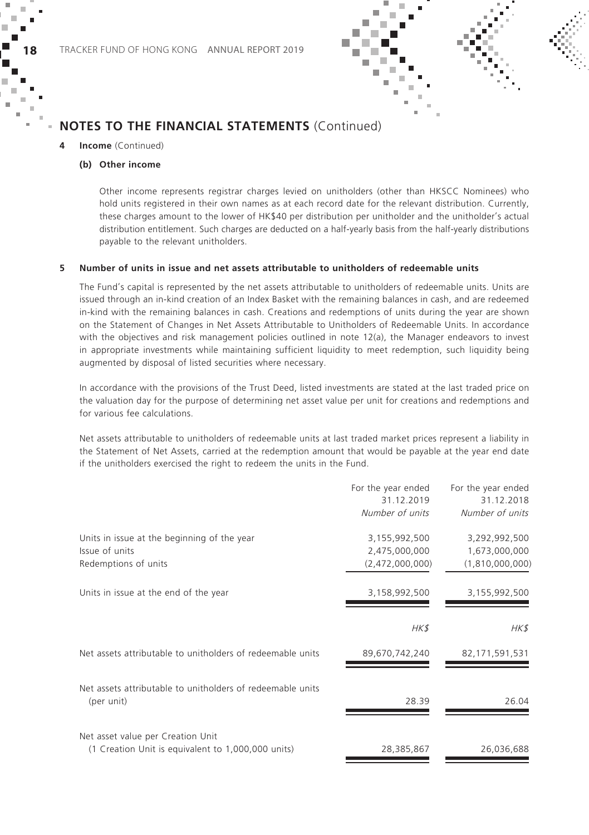

#### **4 Income** (Continued)

#### **(b) Other income**

Other income represents registrar charges levied on unitholders (other than HKSCC Nominees) who hold units registered in their own names as at each record date for the relevant distribution. Currently, these charges amount to the lower of HK\$40 per distribution per unitholder and the unitholder's actual distribution entitlement. Such charges are deducted on a half-yearly basis from the half-yearly distributions payable to the relevant unitholders.

#### **5 Number of units in issue and net assets attributable to unitholders of redeemable units**

The Fund's capital is represented by the net assets attributable to unitholders of redeemable units. Units are issued through an in-kind creation of an Index Basket with the remaining balances in cash, and are redeemed in-kind with the remaining balances in cash. Creations and redemptions of units during the year are shown on the Statement of Changes in Net Assets Attributable to Unitholders of Redeemable Units. In accordance with the objectives and risk management policies outlined in note 12(a), the Manager endeavors to invest in appropriate investments while maintaining sufficient liquidity to meet redemption, such liquidity being augmented by disposal of listed securities where necessary.

In accordance with the provisions of the Trust Deed, listed investments are stated at the last traded price on the valuation day for the purpose of determining net asset value per unit for creations and redemptions and for various fee calculations.

Net assets attributable to unitholders of redeemable units at last traded market prices represent a liability in the Statement of Net Assets, carried at the redemption amount that would be payable at the year end date if the unitholders exercised the right to redeem the units in the Fund.

|                                                                                         | For the year ended<br>31.12.2019 | For the year ended<br>31.12.2018 |
|-----------------------------------------------------------------------------------------|----------------------------------|----------------------------------|
|                                                                                         | Number of units                  | Number of units                  |
| Units in issue at the beginning of the year                                             | 3,155,992,500                    | 3,292,992,500                    |
| Issue of units<br>Redemptions of units                                                  | 2,475,000,000<br>(2,472,000,000) | 1,673,000,000<br>(1,810,000,000) |
|                                                                                         |                                  |                                  |
| Units in issue at the end of the year                                                   | 3,158,992,500                    | 3,155,992,500                    |
|                                                                                         | HK\$                             | HK\$                             |
| Net assets attributable to unitholders of redeemable units                              | 89,670,742,240                   | 82, 171, 591, 531                |
| Net assets attributable to unitholders of redeemable units<br>(per unit)                | 28.39                            | 26.04                            |
| Net asset value per Creation Unit<br>(1 Creation Unit is equivalent to 1,000,000 units) | 28,385,867                       | 26,036,688                       |
|                                                                                         |                                  |                                  |

i.

п × ×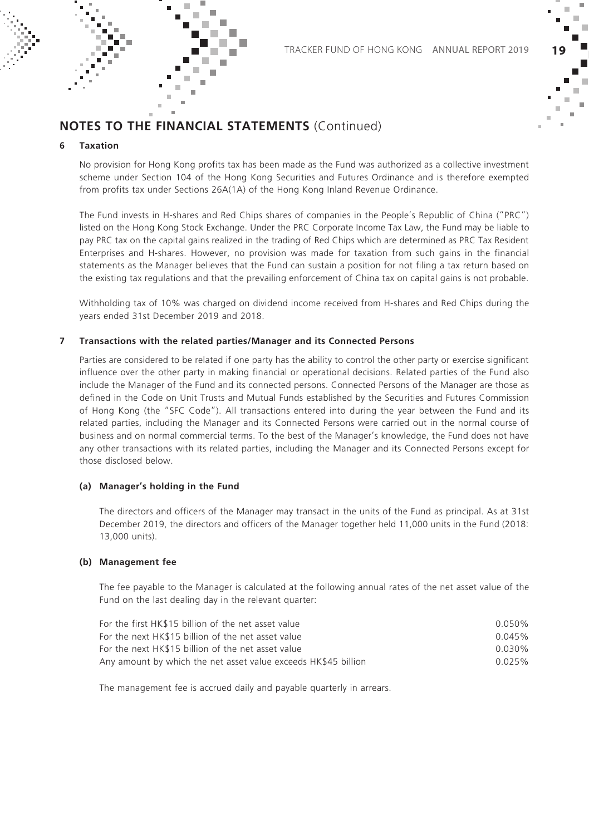

#### **6 Taxation**

No provision for Hong Kong profits tax has been made as the Fund was authorized as a collective investment scheme under Section 104 of the Hong Kong Securities and Futures Ordinance and is therefore exempted from profits tax under Sections 26A(1A) of the Hong Kong Inland Revenue Ordinance.

The Fund invests in H-shares and Red Chips shares of companies in the People's Republic of China ("PRC") listed on the Hong Kong Stock Exchange. Under the PRC Corporate Income Tax Law, the Fund may be liable to pay PRC tax on the capital gains realized in the trading of Red Chips which are determined as PRC Tax Resident Enterprises and H-shares. However, no provision was made for taxation from such gains in the financial statements as the Manager believes that the Fund can sustain a position for not filing a tax return based on the existing tax regulations and that the prevailing enforcement of China tax on capital gains is not probable.

Withholding tax of 10% was charged on dividend income received from H-shares and Red Chips during the years ended 31st December 2019 and 2018.

#### **7 Transactions with the related parties/Manager and its Connected Persons**

Parties are considered to be related if one party has the ability to control the other party or exercise significant influence over the other party in making financial or operational decisions. Related parties of the Fund also include the Manager of the Fund and its connected persons. Connected Persons of the Manager are those as defined in the Code on Unit Trusts and Mutual Funds established by the Securities and Futures Commission of Hong Kong (the "SFC Code"). All transactions entered into during the year between the Fund and its related parties, including the Manager and its Connected Persons were carried out in the normal course of business and on normal commercial terms. To the best of the Manager's knowledge, the Fund does not have any other transactions with its related parties, including the Manager and its Connected Persons except for those disclosed below.

#### **(a) Manager's holding in the Fund**

The directors and officers of the Manager may transact in the units of the Fund as principal. As at 31st December 2019, the directors and officers of the Manager together held 11,000 units in the Fund (2018: 13,000 units).

#### **(b) Management fee**

The fee payable to the Manager is calculated at the following annual rates of the net asset value of the Fund on the last dealing day in the relevant quarter:

| For the first HK\$15 billion of the net asset value            | $0.050\%$ |
|----------------------------------------------------------------|-----------|
| For the next HK\$15 billion of the net asset value             | 0.045%    |
| For the next HK\$15 billion of the net asset value             | $0.030\%$ |
| Any amount by which the net asset value exceeds HK\$45 billion | 0.025%    |

The management fee is accrued daily and payable quarterly in arrears.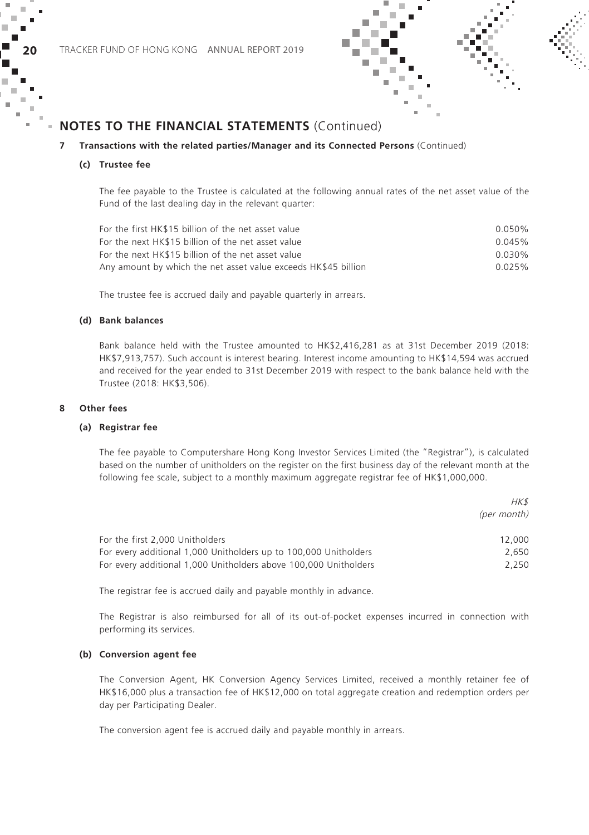



#### **7 Transactions with the related parties/Manager and its Connected Persons** (Continued)

#### **(c) Trustee fee**

The fee payable to the Trustee is calculated at the following annual rates of the net asset value of the Fund of the last dealing day in the relevant quarter:

| For the first HK\$15 billion of the net asset value            | 0.050% |
|----------------------------------------------------------------|--------|
| For the next HK\$15 billion of the net asset value             | 0.045% |
| For the next HK\$15 billion of the net asset value             | 0.030% |
| Any amount by which the net asset value exceeds HK\$45 billion | 0.025% |

The trustee fee is accrued daily and payable quarterly in arrears.

#### **(d) Bank balances**

Bank balance held with the Trustee amounted to HK\$2,416,281 as at 31st December 2019 (2018: HK\$7,913,757). Such account is interest bearing. Interest income amounting to HK\$14,594 was accrued and received for the year ended to 31st December 2019 with respect to the bank balance held with the Trustee (2018: HK\$3,506).

#### **8 Other fees**

#### **(a) Registrar fee**

The fee payable to Computershare Hong Kong Investor Services Limited (the "Registrar"), is calculated based on the number of unitholders on the register on the first business day of the relevant month at the following fee scale, subject to a monthly maximum aggregate registrar fee of HK\$1,000,000.

|                                                                  | HK \$       |
|------------------------------------------------------------------|-------------|
|                                                                  | (per month) |
| For the first 2,000 Unitholders                                  | 12,000      |
| For every additional 1,000 Unitholders up to 100,000 Unitholders | 2.650       |
| For every additional 1,000 Unitholders above 100,000 Unitholders | 2.250       |

The registrar fee is accrued daily and payable monthly in advance.

The Registrar is also reimbursed for all of its out-of-pocket expenses incurred in connection with performing its services.

#### **(b) Conversion agent fee**

The Conversion Agent, HK Conversion Agency Services Limited, received a monthly retainer fee of HK\$16,000 plus a transaction fee of HK\$12,000 on total aggregate creation and redemption orders per day per Participating Dealer.

The conversion agent fee is accrued daily and payable monthly in arrears.

i.

×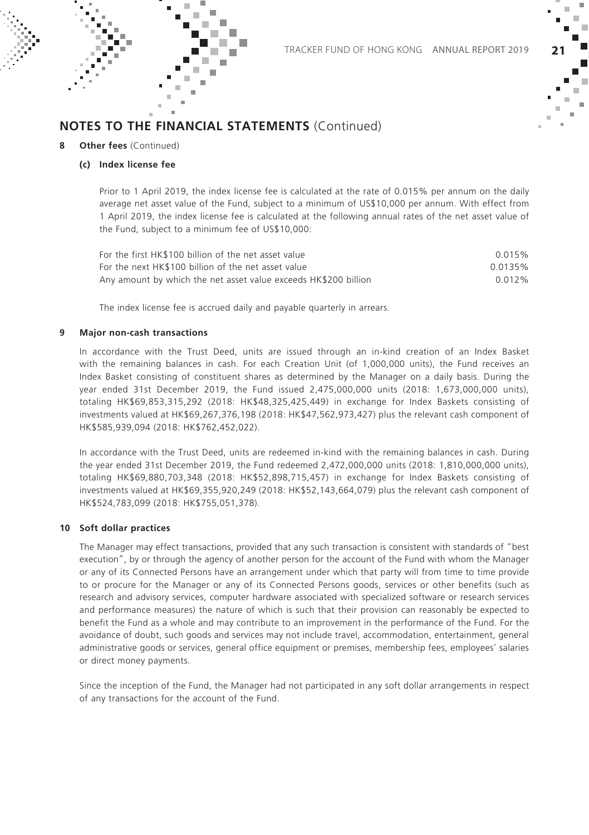

#### **Other fees** (Continued)

#### **(c) Index license fee**

Prior to 1 April 2019, the index license fee is calculated at the rate of 0.015% per annum on the daily average net asset value of the Fund, subject to a minimum of US\$10,000 per annum. With effect from 1 April 2019, the index license fee is calculated at the following annual rates of the net asset value of the Fund, subject to a minimum fee of US\$10,000:

| For the first HK\$100 billion of the net asset value            | 0.015%  |
|-----------------------------------------------------------------|---------|
| For the next HK\$100 billion of the net asset value             | 0.0135% |
| Any amount by which the net asset value exceeds HK\$200 billion | 0.012%  |

The index license fee is accrued daily and payable quarterly in arrears.

#### **9 Major non-cash transactions**

In accordance with the Trust Deed, units are issued through an in-kind creation of an Index Basket with the remaining balances in cash. For each Creation Unit (of 1,000,000 units), the Fund receives an Index Basket consisting of constituent shares as determined by the Manager on a daily basis. During the year ended 31st December 2019, the Fund issued 2,475,000,000 units (2018: 1,673,000,000 units), totaling HK\$69,853,315,292 (2018: HK\$48,325,425,449) in exchange for Index Baskets consisting of investments valued at HK\$69,267,376,198 (2018: HK\$47,562,973,427) plus the relevant cash component of HK\$585,939,094 (2018: HK\$762,452,022).

In accordance with the Trust Deed, units are redeemed in-kind with the remaining balances in cash. During the year ended 31st December 2019, the Fund redeemed 2,472,000,000 units (2018: 1,810,000,000 units) totaling HK\$69,880,703,348 (2018: HK\$52,898,715,457) in exchange for Index Baskets consisting of investments valued at HK\$69,355,920,249 (2018: HK\$52,143,664,079) plus the relevant cash component of HK\$524,783,099 (2018: HK\$755,051,378).

#### **10 Soft dollar practices**

The Manager may effect transactions, provided that any such transaction is consistent with standards of "best execution", by or through the agency of another person for the account of the Fund with whom the Manager or any of its Connected Persons have an arrangement under which that party will from time to time provide to or procure for the Manager or any of its Connected Persons goods, services or other benefits (such as research and advisory services, computer hardware associated with specialized software or research services and performance measures) the nature of which is such that their provision can reasonably be expected to benefit the Fund as a whole and may contribute to an improvement in the performance of the Fund. For the avoidance of doubt, such goods and services may not include travel, accommodation, entertainment, general administrative goods or services, general office equipment or premises, membership fees, employees' salaries or direct money payments.

Since the inception of the Fund, the Manager had not participated in any soft dollar arrangements in respect of any transactions for the account of the Fund.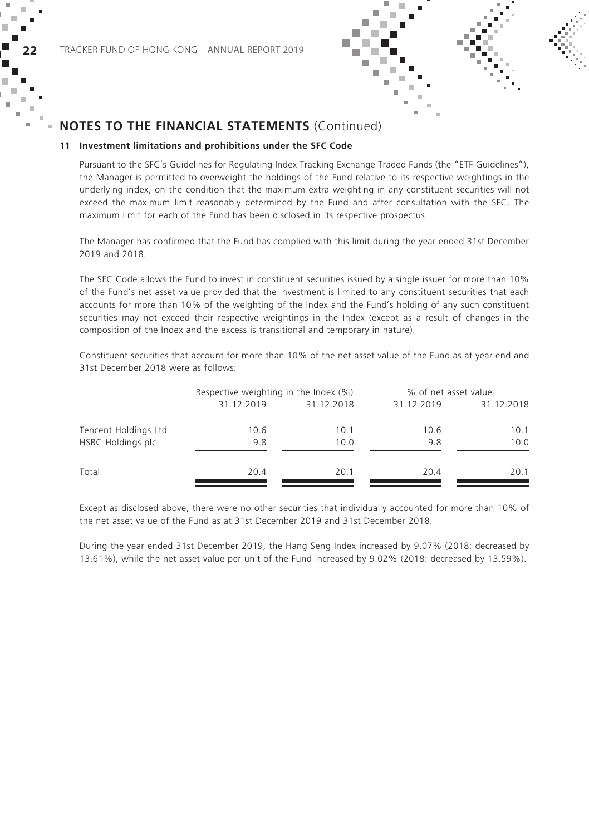



#### **11 Investment limitations and prohibitions under the SFC Code**

Pursuant to the SFC's Guidelines for Regulating Index Tracking Exchange Traded Funds (the "ETF Guidelines"), the Manager is permitted to overweight the holdings of the Fund relative to its respective weightings in the underlying index, on the condition that the maximum extra weighting in any constituent securities will not exceed the maximum limit reasonably determined by the Fund and after consultation with the SFC. The maximum limit for each of the Fund has been disclosed in its respective prospectus.

The Manager has confirmed that the Fund has complied with this limit during the year ended 31st December 2019 and 2018.

The SFC Code allows the Fund to invest in constituent securities issued by a single issuer for more than 10% of the Fund's net asset value provided that the investment is limited to any constituent securities that each accounts for more than 10% of the weighting of the Index and the Fund's holding of any such constituent securities may not exceed their respective weightings in the Index (except as a result of changes in the composition of the Index and the excess is transitional and temporary in nature).

Constituent securities that account for more than 10% of the net asset value of the Fund as at year end and 31st December 2018 were as follows:

|                      | Respective weighting in the Index (%) |            | % of net asset value |            |
|----------------------|---------------------------------------|------------|----------------------|------------|
|                      | 31.12.2019                            | 31.12.2018 | 31.12.2019           | 31.12.2018 |
| Tencent Holdings Ltd | 10.6                                  | 10.1       | 10.6                 | 10.1       |
| HSBC Holdings plc    | 9.8                                   | 10.0       | 9.8                  | 10.0       |
| Total                | 20.4                                  | 20.1       | 20.4                 | 20.1       |

Except as disclosed above, there were no other securities that individually accounted for more than 10% of the net asset value of the Fund as at 31st December 2019 and 31st December 2018.

During the year ended 31st December 2019, the Hang Seng Index increased by 9.07% (2018: decreased by 13.61%), while the net asset value per unit of the Fund increased by 9.02% (2018: decreased by 13.59%).

× ÷

I. ×  $\sim$  $\mathbf{u}$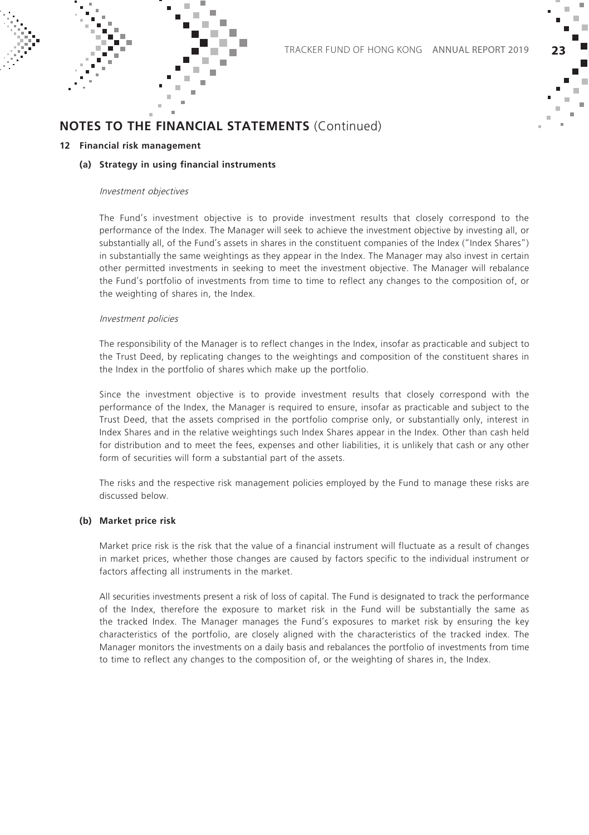

#### **12 Financial risk management**

#### **(a) Strategy in using financial instruments**

#### Investment objectives

The Fund's investment objective is to provide investment results that closely correspond to the performance of the Index. The Manager will seek to achieve the investment objective by investing all, or substantially all, of the Fund's assets in shares in the constituent companies of the Index ("Index Shares") in substantially the same weightings as they appear in the Index. The Manager may also invest in certain other permitted investments in seeking to meet the investment objective. The Manager will rebalance the Fund's portfolio of investments from time to time to reflect any changes to the composition of, or the weighting of shares in, the Index.

#### Investment policies

The responsibility of the Manager is to reflect changes in the Index, insofar as practicable and subject to the Trust Deed, by replicating changes to the weightings and composition of the constituent shares in the Index in the portfolio of shares which make up the portfolio.

Since the investment objective is to provide investment results that closely correspond with the performance of the Index, the Manager is required to ensure, insofar as practicable and subject to the Trust Deed, that the assets comprised in the portfolio comprise only, or substantially only, interest in Index Shares and in the relative weightings such Index Shares appear in the Index. Other than cash held for distribution and to meet the fees, expenses and other liabilities, it is unlikely that cash or any other form of securities will form a substantial part of the assets.

The risks and the respective risk management policies employed by the Fund to manage these risks are discussed below.

#### **(b) Market price risk**

Market price risk is the risk that the value of a financial instrument will fluctuate as a result of changes in market prices, whether those changes are caused by factors specific to the individual instrument or factors affecting all instruments in the market.

All securities investments present a risk of loss of capital. The Fund is designated to track the performance of the Index, therefore the exposure to market risk in the Fund will be substantially the same as the tracked Index. The Manager manages the Fund's exposures to market risk by ensuring the key characteristics of the portfolio, are closely aligned with the characteristics of the tracked index. The Manager monitors the investments on a daily basis and rebalances the portfolio of investments from time to time to reflect any changes to the composition of, or the weighting of shares in, the Index.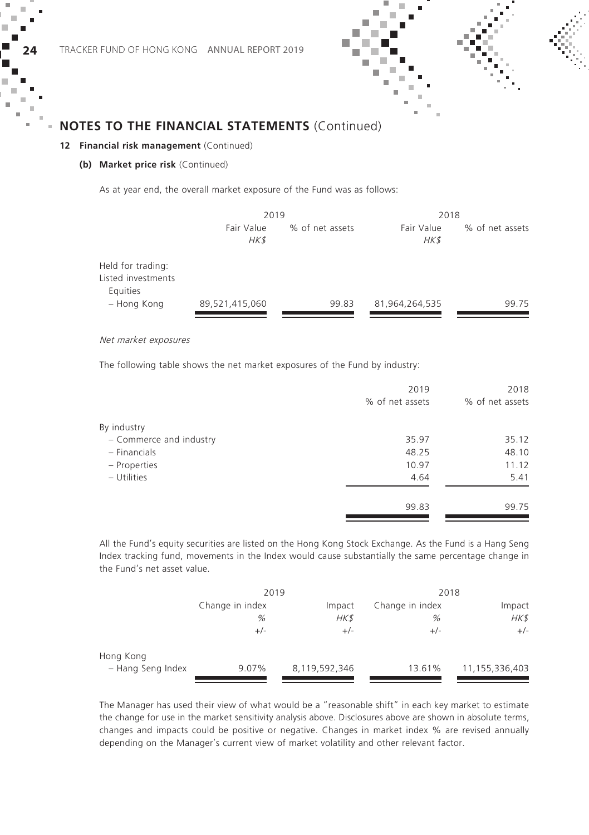#### **12 Financial risk management** (Continued)

#### **(b) Market price risk** (Continued)

As at year end, the overall market exposure of the Fund was as follows:

|                                                     | 2019               |                 | 2018               |                 |
|-----------------------------------------------------|--------------------|-----------------|--------------------|-----------------|
|                                                     | Fair Value<br>HK\$ | % of net assets | Fair Value<br>HK\$ | % of net assets |
| Held for trading:<br>Listed investments<br>Equities |                    |                 |                    |                 |
| - Hong Kong                                         | 89,521,415,060     | 99.83           | 81,964,264,535     | 99.75           |
|                                                     |                    |                 |                    |                 |

Net market exposures

The following table shows the net market exposures of the Fund by industry:

|                         | 2019            | 2018            |
|-------------------------|-----------------|-----------------|
|                         | % of net assets | % of net assets |
| By industry             |                 |                 |
| - Commerce and industry | 35.97           | 35.12           |
| - Financials            | 48.25           | 48.10           |
| - Properties            | 10.97           | 11.12           |
| - Utilities             | 4.64            | 5.41            |
|                         | 99.83           | 99.75           |

All the Fund's equity securities are listed on the Hong Kong Stock Exchange. As the Fund is a Hang Seng Index tracking fund, movements in the Index would cause substantially the same percentage change in the Fund's net asset value.

|                   | 2019                      |               | 2018            |                |
|-------------------|---------------------------|---------------|-----------------|----------------|
|                   | Change in index<br>Impact |               | Change in index | Impact         |
|                   | %                         | HK\$          | %               | HK\$           |
|                   | $+/-$                     | $+/-$         | $+/-$           | $+/-$          |
| Hong Kong         |                           |               |                 |                |
| - Hang Seng Index | 9.07%                     | 8,119,592,346 | 13.61%          | 11,155,336,403 |

The Manager has used their view of what would be a "reasonable shift" in each key market to estimate the change for use in the market sensitivity analysis above. Disclosures above are shown in absolute terms, changes and impacts could be positive or negative. Changes in market index % are revised annually depending on the Manager's current view of market volatility and other relevant factor.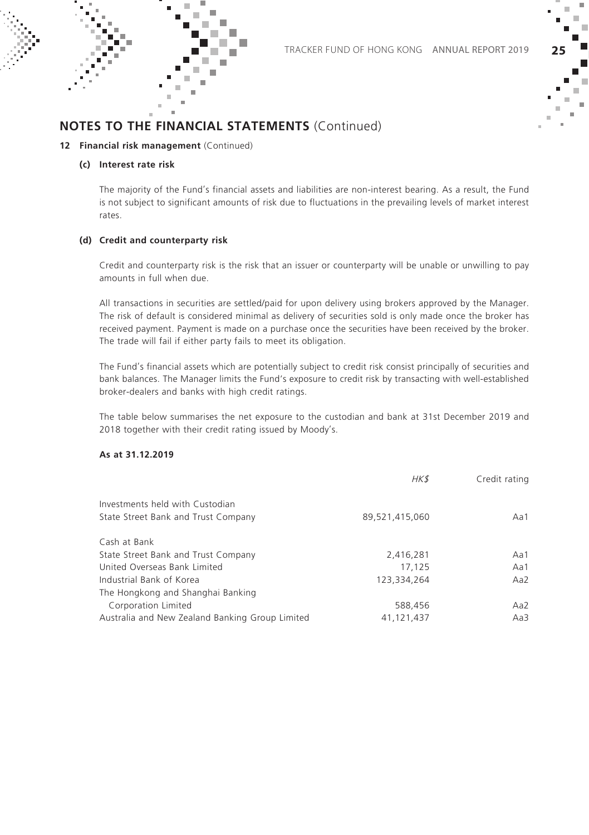×



### **NOTES TO THE FINANCIAL STATEMENTS** (Continued)

#### **12 Financial risk management** (Continued)

#### **(c) Interest rate risk**

The majority of the Fund's financial assets and liabilities are non-interest bearing. As a result, the Fund is not subject to significant amounts of risk due to fluctuations in the prevailing levels of market interest rates.

#### **(d) Credit and counterparty risk**

Credit and counterparty risk is the risk that an issuer or counterparty will be unable or unwilling to pay amounts in full when due.

All transactions in securities are settled/paid for upon delivery using brokers approved by the Manager. The risk of default is considered minimal as delivery of securities sold is only made once the broker has received payment. Payment is made on a purchase once the securities have been received by the broker. The trade will fail if either party fails to meet its obligation.

The Fund's financial assets which are potentially subject to credit risk consist principally of securities and bank balances. The Manager limits the Fund's exposure to credit risk by transacting with well-established broker-dealers and banks with high credit ratings.

The table below summarises the net exposure to the custodian and bank at 31st December 2019 and 2018 together with their credit rating issued by Moody's.

#### **As at 31.12.2019**

|                                                 | HK\$           | Credit rating |
|-------------------------------------------------|----------------|---------------|
| Investments held with Custodian                 |                |               |
| State Street Bank and Trust Company             | 89.521.415.060 | Aa1           |
| Cash at Bank                                    |                |               |
| State Street Bank and Trust Company             | 2,416,281      | Aa1           |
| United Overseas Bank Limited                    | 17.125         | Aa1           |
| Industrial Bank of Korea                        | 123.334.264    | Aa2           |
| The Hongkong and Shanghai Banking               |                |               |
| Corporation Limited                             | 588,456        | Aa2           |
| Australia and New Zealand Banking Group Limited | 41,121,437     | Aa3           |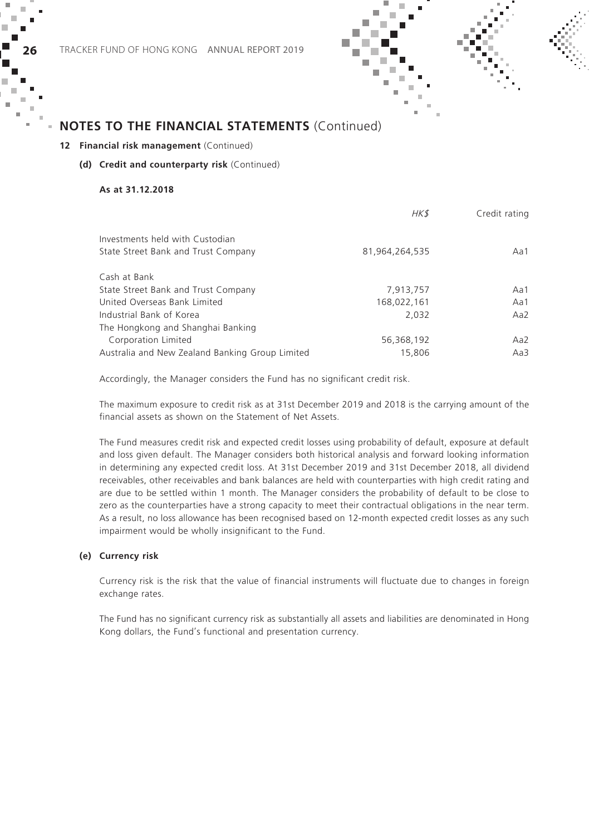#### **12 Financial risk management** (Continued)

#### **(d) Credit and counterparty risk** (Continued)

#### **As at 31.12.2018**

|                                                 | HK\$           | Credit rating |
|-------------------------------------------------|----------------|---------------|
| Investments held with Custodian                 |                |               |
| State Street Bank and Trust Company             | 81.964.264.535 | Aa1           |
| Cash at Bank                                    |                |               |
| State Street Bank and Trust Company             | 7,913,757      | Aa1           |
| United Overseas Bank Limited                    | 168,022,161    | Aa1           |
| Industrial Bank of Korea                        | 2.032          | Aa2           |
| The Hongkong and Shanghai Banking               |                |               |
| Corporation Limited                             | 56,368,192     | Aa2           |
| Australia and New Zealand Banking Group Limited | 15,806         | Aa3           |
|                                                 |                |               |

Accordingly, the Manager considers the Fund has no significant credit risk.

The maximum exposure to credit risk as at 31st December 2019 and 2018 is the carrying amount of the financial assets as shown on the Statement of Net Assets.

The Fund measures credit risk and expected credit losses using probability of default, exposure at default and loss given default. The Manager considers both historical analysis and forward looking information in determining any expected credit loss. At 31st December 2019 and 31st December 2018, all dividend receivables, other receivables and bank balances are held with counterparties with high credit rating and are due to be settled within 1 month. The Manager considers the probability of default to be close to zero as the counterparties have a strong capacity to meet their contractual obligations in the near term. As a result, no loss allowance has been recognised based on 12-month expected credit losses as any such impairment would be wholly insignificant to the Fund.

#### **(e) Currency risk**

Currency risk is the risk that the value of financial instruments will fluctuate due to changes in foreign exchange rates.

The Fund has no significant currency risk as substantially all assets and liabilities are denominated in Hong Kong dollars, the Fund's functional and presentation currency.

× ш

п ×  $\sim$ ×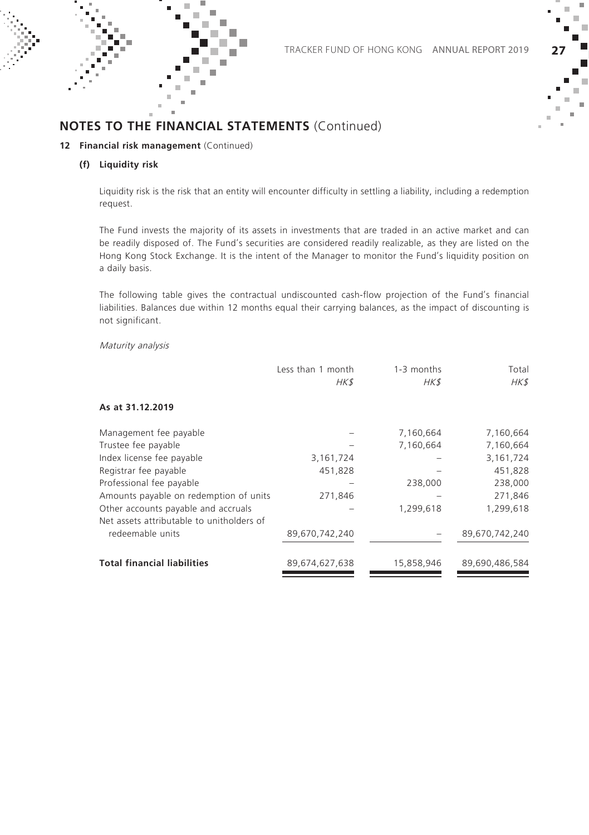×



### **NOTES TO THE FINANCIAL STATEMENTS** (Continued)

#### **12 Financial risk management** (Continued)

#### **(f) Liquidity risk**

Liquidity risk is the risk that an entity will encounter difficulty in settling a liability, including a redemption request.

The Fund invests the majority of its assets in investments that are traded in an active market and can be readily disposed of. The Fund's securities are considered readily realizable, as they are listed on the Hong Kong Stock Exchange. It is the intent of the Manager to monitor the Fund's liquidity position on a daily basis.

The following table gives the contractual undiscounted cash-flow projection of the Fund's financial liabilities. Balances due within 12 months equal their carrying balances, as the impact of discounting is not significant.

#### Maturity analysis

|                                           | Less than 1 month<br>HK\$ | 1-3 months<br>HK\$ | Total<br>HK\$  |
|-------------------------------------------|---------------------------|--------------------|----------------|
| As at 31.12.2019                          |                           |                    |                |
| Management fee payable                    |                           | 7,160,664          | 7,160,664      |
| Trustee fee payable                       |                           | 7,160,664          | 7,160,664      |
| Index license fee payable                 | 3, 161, 724               |                    | 3,161,724      |
| Registrar fee payable                     | 451,828                   |                    | 451,828        |
| Professional fee payable                  |                           | 238,000            | 238,000        |
| Amounts payable on redemption of units    | 271,846                   |                    | 271,846        |
| Other accounts payable and accruals       |                           | 1,299,618          | 1,299,618      |
| Net assets attributable to unitholders of |                           |                    |                |
| redeemable units                          | 89,670,742,240            |                    | 89,670,742,240 |
| <b>Total financial liabilities</b>        | 89,674,627,638            | 15,858,946         | 89.690.486.584 |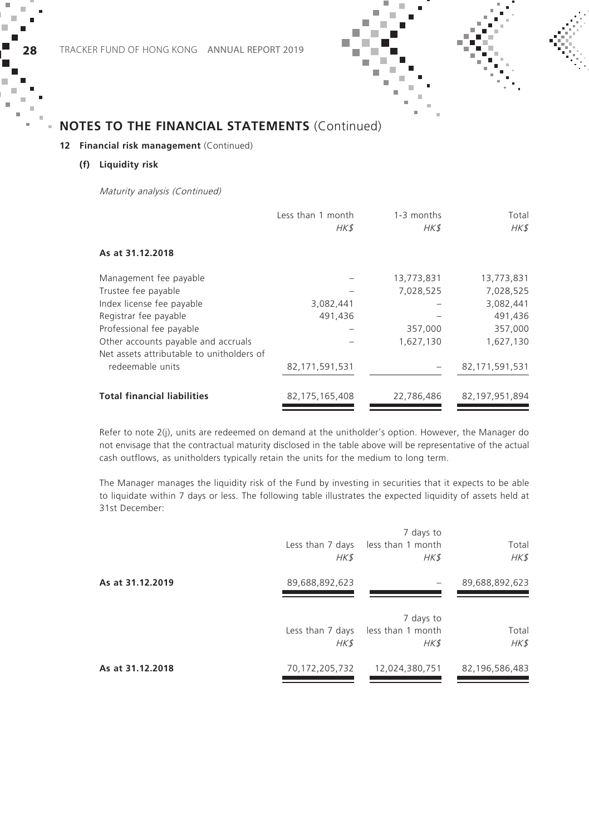#### **12 Financial risk management** (Continued)

#### **(f) Liquidity risk**

Maturity analysis (Continued)

|                                                                                  | Less than 1 month<br>HK\$ | 1-3 months<br>HK\$ | Total<br>HK\$     |
|----------------------------------------------------------------------------------|---------------------------|--------------------|-------------------|
| As at 31.12.2018                                                                 |                           |                    |                   |
| Management fee payable                                                           |                           | 13,773,831         | 13,773,831        |
| Trustee fee payable                                                              |                           | 7,028,525          | 7,028,525         |
| Index license fee payable                                                        | 3,082,441                 |                    | 3,082,441         |
| Registrar fee payable                                                            | 491,436                   |                    | 491,436           |
| Professional fee payable                                                         |                           | 357,000            | 357,000           |
| Other accounts payable and accruals<br>Net assets attributable to unitholders of |                           | 1,627,130          | 1,627,130         |
| redeemable units                                                                 | 82, 171, 591, 531         |                    | 82, 171, 591, 531 |
| <b>Total financial liabilities</b>                                               | 82, 175, 165, 408         | 22,786,486         | 82, 197, 951, 894 |

Refer to note 2(j), units are redeemed on demand at the unitholder's option. However, the Manager do not envisage that the contractual maturity disclosed in the table above will be representative of the actual cash outflows, as unitholders typically retain the units for the medium to long term.

The Manager manages the liquidity risk of the Fund by investing in securities that it expects to be able to liquidate within 7 days or less. The following table illustrates the expected liquidity of assets held at 31st December:

|                  | Less than 7 days<br>HK\$ | 7 days to<br>less than 1 month<br>HK\$ | Total<br>HK\$  |
|------------------|--------------------------|----------------------------------------|----------------|
| As at 31.12.2019 | 89,688,892,623           |                                        | 89,688,892,623 |
|                  | Less than 7 days<br>HK\$ | 7 days to<br>less than 1 month<br>HK\$ | Total<br>HK\$  |
| As at 31.12.2018 | 70,172,205,732           | 12,024,380,751                         | 82,196,586,483 |

×

п × ÷ ×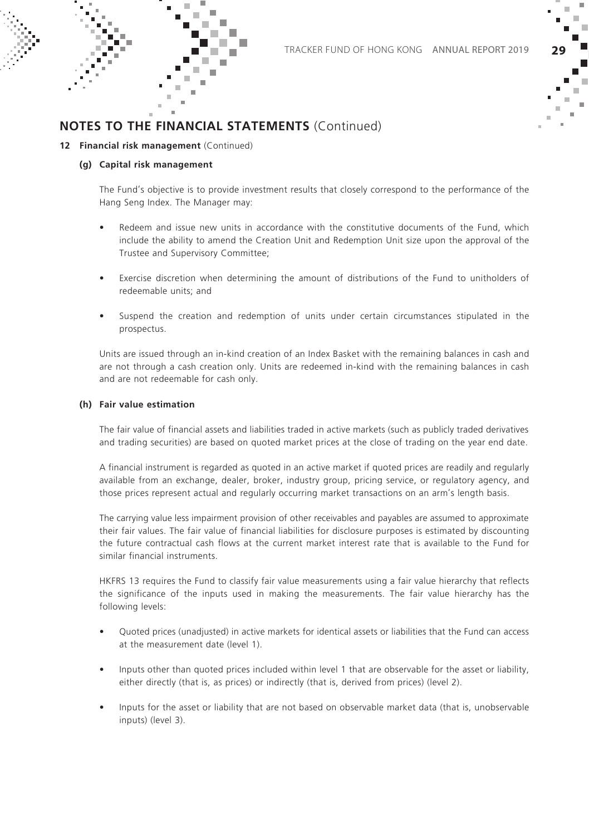× f.



### **NOTES TO THE FINANCIAL STATEMENTS** (Continued)

#### **12 Financial risk management** (Continued)

#### **(g) Capital risk management**

The Fund's objective is to provide investment results that closely correspond to the performance of the Hang Seng Index. The Manager may:

- Redeem and issue new units in accordance with the constitutive documents of the Fund, which include the ability to amend the Creation Unit and Redemption Unit size upon the approval of the Trustee and Supervisory Committee;
- Exercise discretion when determining the amount of distributions of the Fund to unitholders of redeemable units; and
- Suspend the creation and redemption of units under certain circumstances stipulated in the prospectus.

Units are issued through an in-kind creation of an Index Basket with the remaining balances in cash and are not through a cash creation only. Units are redeemed in-kind with the remaining balances in cash and are not redeemable for cash only.

#### **(h) Fair value estimation**

The fair value of financial assets and liabilities traded in active markets (such as publicly traded derivatives and trading securities) are based on quoted market prices at the close of trading on the year end date.

A financial instrument is regarded as quoted in an active market if quoted prices are readily and regularly available from an exchange, dealer, broker, industry group, pricing service, or regulatory agency, and those prices represent actual and regularly occurring market transactions on an arm's length basis.

The carrying value less impairment provision of other receivables and payables are assumed to approximate their fair values. The fair value of financial liabilities for disclosure purposes is estimated by discounting the future contractual cash flows at the current market interest rate that is available to the Fund for similar financial instruments.

HKFRS 13 requires the Fund to classify fair value measurements using a fair value hierarchy that reflects the significance of the inputs used in making the measurements. The fair value hierarchy has the following levels:

- Quoted prices (unadjusted) in active markets for identical assets or liabilities that the Fund can access at the measurement date (level 1).
- Inputs other than quoted prices included within level 1 that are observable for the asset or liability, either directly (that is, as prices) or indirectly (that is, derived from prices) (level 2).
- Inputs for the asset or liability that are not based on observable market data (that is, unobservable inputs) (level 3).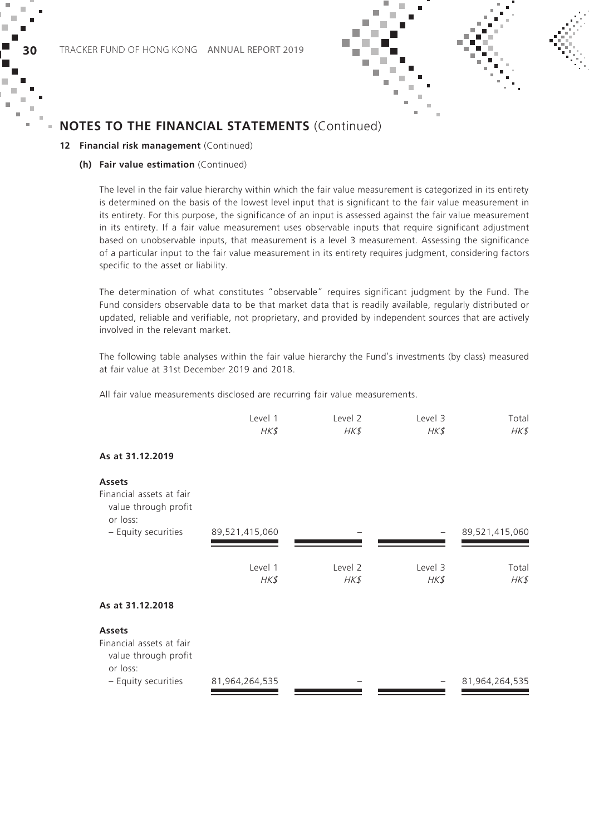

#### **12 Financial risk management** (Continued)

#### **(h) Fair value estimation** (Continued)

The level in the fair value hierarchy within which the fair value measurement is categorized in its entirety is determined on the basis of the lowest level input that is significant to the fair value measurement in its entirety. For this purpose, the significance of an input is assessed against the fair value measurement in its entirety. If a fair value measurement uses observable inputs that require significant adjustment based on unobservable inputs, that measurement is a level 3 measurement. Assessing the significance of a particular input to the fair value measurement in its entirety requires judgment, considering factors specific to the asset or liability.

The determination of what constitutes "observable" requires significant judgment by the Fund. The Fund considers observable data to be that market data that is readily available, regularly distributed or updated, reliable and verifiable, not proprietary, and provided by independent sources that are actively involved in the relevant market.

The following table analyses within the fair value hierarchy the Fund's investments (by class) measured at fair value at 31st December 2019 and 2018.

All fair value measurements disclosed are recurring fair value measurements.

| Level 1 | Level 2 | Level 3 | Total |
|---------|---------|---------|-------|
| HK\$    | HK\$    | HK\$    | HK\$  |

#### **As at 31.12.2019**

| <b>Assets</b><br>Financial assets at fair<br>value through profit<br>or loss: |                |         |          |                |
|-------------------------------------------------------------------------------|----------------|---------|----------|----------------|
| - Equity securities                                                           | 89,521,415,060 |         |          | 89,521,415,060 |
|                                                                               |                |         |          |                |
|                                                                               | Level 1        | Level 2 | Level 3  | Total          |
|                                                                               | HK\$           | HK\$    | $H K$ \$ | HK\$           |
| As at 31.12.2018                                                              |                |         |          |                |
| <b>Assets</b>                                                                 |                |         |          |                |
| Financial assets at fair<br>value through profit<br>or loss:                  |                |         |          |                |
| - Equity securities                                                           | 81,964,264,535 |         |          | 81,964,264,535 |

×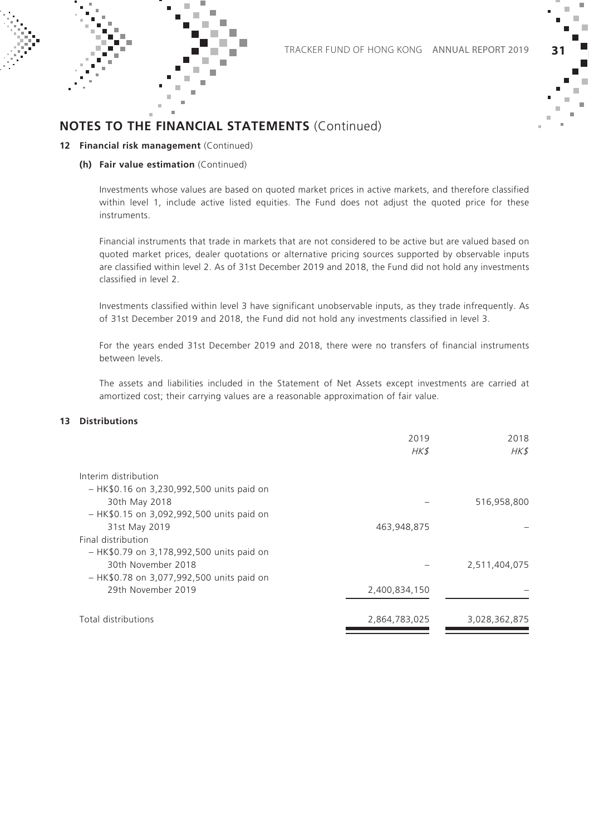

#### **12 Financial risk management** (Continued)

#### **(h) Fair value estimation** (Continued)

Investments whose values are based on quoted market prices in active markets, and therefore classified within level 1, include active listed equities. The Fund does not adjust the quoted price for these instruments.

Financial instruments that trade in markets that are not considered to be active but are valued based on quoted market prices, dealer quotations or alternative pricing sources supported by observable inputs are classified within level 2. As of 31st December 2019 and 2018, the Fund did not hold any investments classified in level 2.

Investments classified within level 3 have significant unobservable inputs, as they trade infrequently. As of 31st December 2019 and 2018, the Fund did not hold any investments classified in level 3.

For the years ended 31st December 2019 and 2018, there were no transfers of financial instruments between levels.

The assets and liabilities included in the Statement of Net Assets except investments are carried at amortized cost; their carrying values are a reasonable approximation of fair value.

#### **13 Distributions**

|                                           | 2019<br>HK\$  | 2018<br>HK\$  |
|-------------------------------------------|---------------|---------------|
|                                           |               |               |
| Interim distribution                      |               |               |
| - HK\$0.16 on 3,230,992,500 units paid on |               |               |
| 30th May 2018                             |               | 516,958,800   |
| - HK\$0.15 on 3,092,992,500 units paid on |               |               |
| 31st May 2019                             | 463,948,875   |               |
| Final distribution                        |               |               |
| - HK\$0.79 on 3,178,992,500 units paid on |               |               |
| 30th November 2018                        |               | 2,511,404,075 |
| - HK\$0.78 on 3,077,992,500 units paid on |               |               |
| 29th November 2019                        | 2,400,834,150 |               |
| Total distributions                       | 2,864,783,025 | 3,028,362,875 |
|                                           |               |               |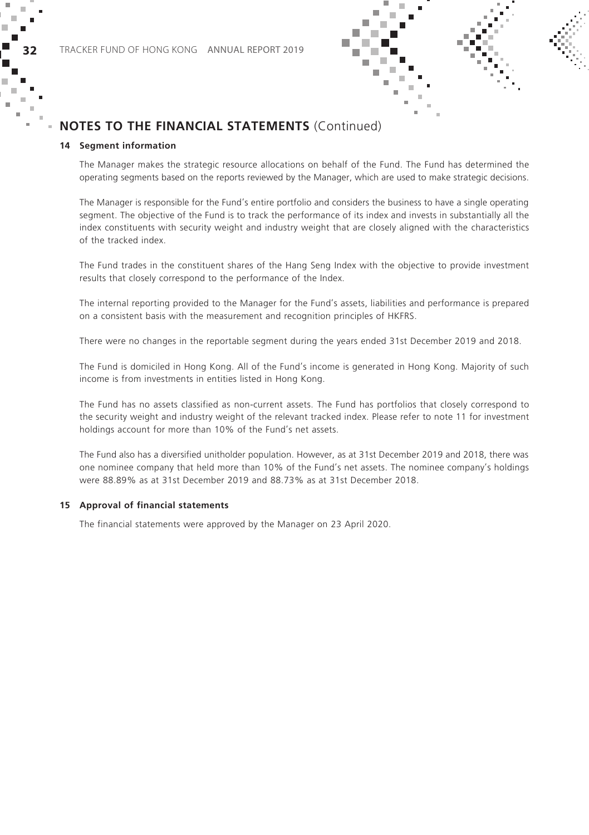#### **14 Segment information**

The Manager makes the strategic resource allocations on behalf of the Fund. The Fund has determined the operating segments based on the reports reviewed by the Manager, which are used to make strategic decisions.

The Manager is responsible for the Fund's entire portfolio and considers the business to have a single operating segment. The objective of the Fund is to track the performance of its index and invests in substantially all the index constituents with security weight and industry weight that are closely aligned with the characteristics of the tracked index.

The Fund trades in the constituent shares of the Hang Seng Index with the objective to provide investment results that closely correspond to the performance of the Index.

The internal reporting provided to the Manager for the Fund's assets, liabilities and performance is prepared on a consistent basis with the measurement and recognition principles of HKFRS.

There were no changes in the reportable segment during the years ended 31st December 2019 and 2018.

The Fund is domiciled in Hong Kong. All of the Fund's income is generated in Hong Kong. Majority of such income is from investments in entities listed in Hong Kong.

The Fund has no assets classified as non-current assets. The Fund has portfolios that closely correspond to the security weight and industry weight of the relevant tracked index. Please refer to note 11 for investment holdings account for more than 10% of the Fund's net assets.

The Fund also has a diversified unitholder population. However, as at 31st December 2019 and 2018, there was one nominee company that held more than 10% of the Fund's net assets. The nominee company's holdings were 88.89% as at 31st December 2019 and 88.73% as at 31st December 2018.

#### **15 Approval of financial statements**

The financial statements were approved by the Manager on 23 April 2020.

× ÷

I. ×  $\sim$  $\mathbf{u}$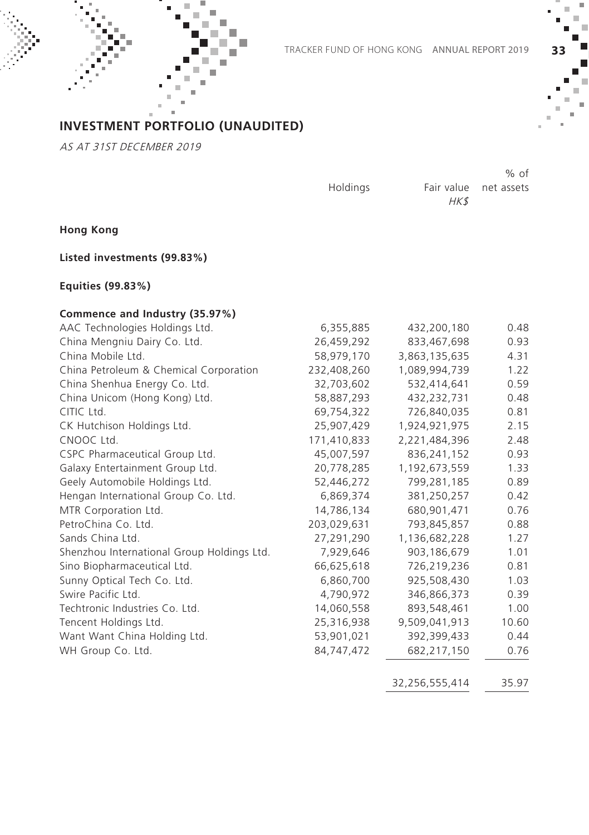

### **INVESTMENT PORTFOLIO (UNAUDITED)**

AS AT 31ST DECEMBER 2019

Holdings

Fair value net assets HK\$

% of

**Hong Kong**

**Listed investments (99.83%)** 

**Equities (99.83%)**

### **Commence and Industry (35.97%)**

| AAC Technologies Holdings Ltd.             | 6,355,885   | 432,200,180   | 0.48  |
|--------------------------------------------|-------------|---------------|-------|
| China Mengniu Dairy Co. Ltd.               | 26,459,292  | 833,467,698   | 0.93  |
| China Mobile Ltd.                          | 58,979,170  | 3,863,135,635 | 4.31  |
| China Petroleum & Chemical Corporation     | 232,408,260 | 1,089,994,739 | 1.22  |
| China Shenhua Energy Co. Ltd.              | 32,703,602  | 532,414,641   | 0.59  |
| China Unicom (Hong Kong) Ltd.              | 58,887,293  | 432,232,731   | 0.48  |
| CITIC Ltd.                                 | 69,754,322  | 726,840,035   | 0.81  |
| CK Hutchison Holdings Ltd.                 | 25,907,429  | 1,924,921,975 | 2.15  |
| CNOOC Ltd.                                 | 171,410,833 | 2,221,484,396 | 2.48  |
| CSPC Pharmaceutical Group Ltd.             | 45,007,597  | 836,241,152   | 0.93  |
| Galaxy Entertainment Group Ltd.            | 20,778,285  | 1,192,673,559 | 1.33  |
| Geely Automobile Holdings Ltd.             | 52,446,272  | 799,281,185   | 0.89  |
| Hengan International Group Co. Ltd.        | 6,869,374   | 381,250,257   | 0.42  |
| MTR Corporation Ltd.                       | 14,786,134  | 680,901,471   | 0.76  |
| PetroChina Co. Ltd.                        | 203,029,631 | 793,845,857   | 0.88  |
| Sands China Ltd.                           | 27,291,290  | 1,136,682,228 | 1.27  |
| Shenzhou International Group Holdings Ltd. | 7,929,646   | 903,186,679   | 1.01  |
| Sino Biopharmaceutical Ltd.                | 66,625,618  | 726,219,236   | 0.81  |
| Sunny Optical Tech Co. Ltd.                | 6,860,700   | 925,508,430   | 1.03  |
| Swire Pacific Ltd.                         | 4,790,972   | 346,866,373   | 0.39  |
| Techtronic Industries Co. Ltd.             | 14,060,558  | 893,548,461   | 1.00  |
| Tencent Holdings Ltd.                      | 25,316,938  | 9,509,041,913 | 10.60 |
| Want Want China Holding Ltd.               | 53,901,021  | 392,399,433   | 0.44  |
| WH Group Co. Ltd.                          | 84,747,472  | 682,217,150   | 0.76  |
|                                            |             |               |       |

32,256,555,414 35.97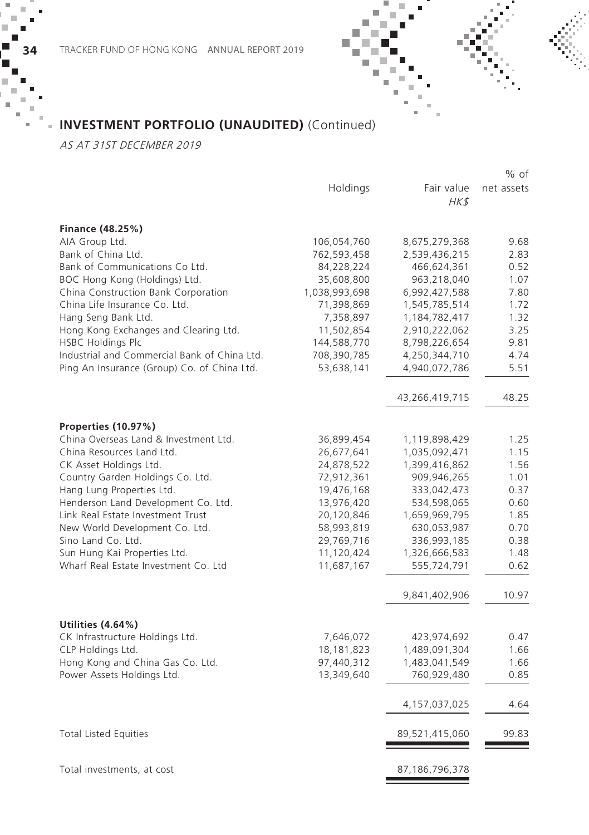## **INVESTMENT PORTFOLIO (UNAUDITED)** (Continued)

AS AT 31ST DECEMBER 2019

×

×

|                                                      |               |                    | % ot       |
|------------------------------------------------------|---------------|--------------------|------------|
|                                                      | Holdings      | Fair value<br>HK\$ | net assets |
| Finance (48.25%)                                     |               |                    |            |
| AIA Group Ltd.                                       | 106,054,760   | 8,675,279,368      | 9.68       |
| Bank of China Ltd.                                   | 762,593,458   | 2,539,436,215      | 2.83       |
| Bank of Communications Co Ltd.                       | 84,228,224    | 466,624,361        | 0.52       |
| BOC Hong Kong (Holdings) Ltd.                        | 35,608,800    | 963,218,040        | 1.07       |
| China Construction Bank Corporation                  | 1,038,993,698 | 6,992,427,588      | 7.80       |
| China Life Insurance Co. Ltd.                        | 71,398,869    | 1,545,785,514      | 1.72       |
| Hang Seng Bank Ltd.                                  | 7,358,897     | 1,184,782,417      | 1.32       |
| Hong Kong Exchanges and Clearing Ltd.                | 11,502,854    | 2,910,222,062      | 3.25       |
| <b>HSBC Holdings Plc</b>                             | 144,588,770   | 8,798,226,654      | 9.81       |
| Industrial and Commercial Bank of China Ltd.         | 708,390,785   | 4,250,344,710      | 4.74       |
| Ping An Insurance (Group) Co. of China Ltd.          | 53,638,141    | 4,940,072,786      | 5.51       |
|                                                      |               | 43,266,419,715     | 48.25      |
| Properties (10.97%)                                  |               |                    |            |
| China Overseas Land & Investment Ltd.                | 36,899,454    | 1,119,898,429      | 1.25       |
| China Resources Land Ltd.                            | 26,677,641    | 1,035,092,471      | 1.15       |
| CK Asset Holdings Ltd.                               | 24,878,522    | 1,399,416,862      | 1.56       |
| Country Garden Holdings Co. Ltd.                     | 72,912,361    | 909,946,265        | 1.01       |
| Hang Lung Properties Ltd.                            | 19,476,168    | 333,042,473        | 0.37       |
| Henderson Land Development Co. Ltd.                  | 13,976,420    | 534,598,065        | 0.60       |
| Link Real Estate Investment Trust                    | 20,120,846    | 1,659,969,795      | 1.85       |
| New World Development Co. Ltd.                       | 58,993,819    | 630,053,987        | 0.70       |
| Sino Land Co. Ltd.                                   | 29,769,716    | 336,993,185        | 0.38       |
| Sun Hung Kai Properties Ltd.                         | 11,120,424    | 1,326,666,583      | 1.48       |
| Wharf Real Estate Investment Co. Ltd                 | 11,687,167    | 555,724,791        | 0.62       |
|                                                      |               | 9,841,402,906      | 10.97      |
|                                                      |               |                    |            |
| Utilities (4.64%)<br>CK Infrastructure Holdings Ltd. | 7,646,072     | 423,974,692        | 0.47       |
| CLP Holdings Ltd.                                    | 18,181,823    | 1,489,091,304      | 1.66       |
| Hong Kong and China Gas Co. Ltd.                     | 97,440,312    | 1,483,041,549      | 1.66       |
| Power Assets Holdings Ltd.                           | 13,349,640    | 760,929,480        | 0.85       |
|                                                      |               | 4,157,037,025      | 4.64       |
| <b>Total Listed Equities</b>                         |               | 89,521,415,060     | 99.83      |
| Total investments, at cost                           |               | 87,186,796,378     |            |
|                                                      |               |                    |            |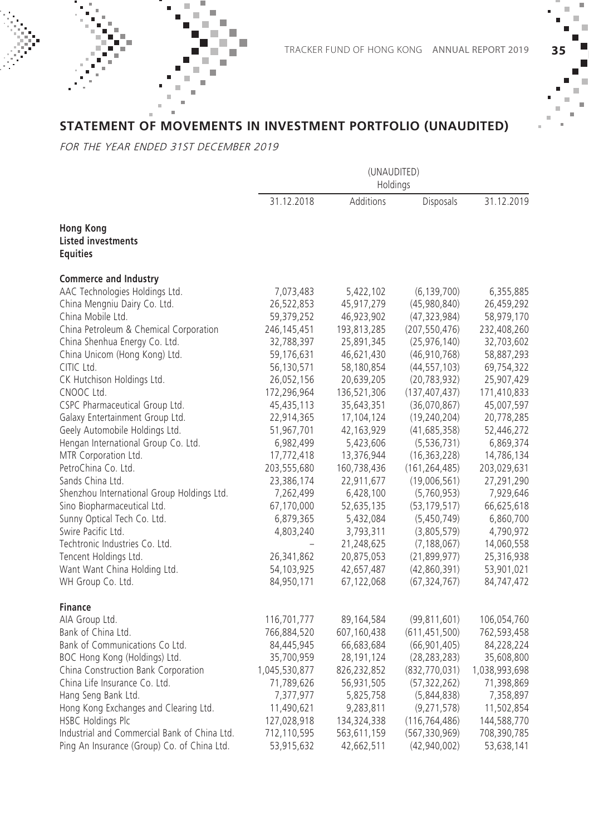### **STATEMENT OF MOVEMENTS IN INVESTMENT PORTFOLIO (UNAUDITED)**

FOR THE YEAR ENDED 31ST DECEMBER 2019

|                                                                  | (UNAUDITED)<br>Holdings |                  |                 |               |
|------------------------------------------------------------------|-------------------------|------------------|-----------------|---------------|
|                                                                  | 31.12.2018              | <b>Additions</b> | Disposals       | 31.12.2019    |
| <b>Hong Kong</b><br><b>Listed investments</b><br><b>Equities</b> |                         |                  |                 |               |
| <b>Commerce and Industry</b>                                     |                         |                  |                 |               |
| AAC Technologies Holdings Ltd.                                   | 7,073,483               | 5,422,102        | (6, 139, 700)   | 6,355,885     |
| China Mengniu Dairy Co. Ltd.                                     | 26,522,853              | 45,917,279       | (45,980,840)    | 26,459,292    |
| China Mobile Ltd.                                                | 59,379,252              | 46,923,902       | (47, 323, 984)  | 58,979,170    |
| China Petroleum & Chemical Corporation                           | 246, 145, 451           | 193,813,285      | (207, 550, 476) | 232,408,260   |
| China Shenhua Energy Co. Ltd.                                    | 32,788,397              | 25,891,345       | (25, 976, 140)  | 32,703,602    |
| China Unicom (Hong Kong) Ltd.                                    | 59,176,631              | 46,621,430       | (46, 910, 768)  | 58,887,293    |
| CITIC Ltd.                                                       | 56,130,571              | 58,180,854       | (44, 557, 103)  | 69,754,322    |
| CK Hutchison Holdings Ltd.                                       | 26,052,156              | 20,639,205       | (20, 783, 932)  | 25,907,429    |
| CNOOC Ltd.                                                       | 172,296,964             | 136,521,306      | (137, 407, 437) | 171,410,833   |
| CSPC Pharmaceutical Group Ltd.                                   | 45,435,113              | 35,643,351       | (36,070,867)    | 45,007,597    |
| Galaxy Entertainment Group Ltd.                                  | 22,914,365              | 17,104,124       | (19, 240, 204)  | 20,778,285    |
| Geely Automobile Holdings Ltd.                                   | 51,967,701              | 42,163,929       | (41,685,358)    | 52,446,272    |
| Hengan International Group Co. Ltd.                              | 6,982,499               | 5,423,606        | (5, 536, 731)   | 6,869,374     |
| MTR Corporation Ltd.                                             | 17,772,418              | 13,376,944       | (16, 363, 228)  | 14,786,134    |
| PetroChina Co. Ltd.                                              | 203,555,680             | 160,738,436      | (161, 264, 485) | 203,029,631   |
| Sands China Ltd.                                                 | 23,386,174              | 22,911,677       | (19,006,561)    | 27,291,290    |
| Shenzhou International Group Holdings Ltd.                       | 7,262,499               | 6,428,100        | (5,760,953)     | 7,929,646     |
| Sino Biopharmaceutical Ltd.                                      | 67,170,000              | 52,635,135       | (53, 179, 517)  | 66,625,618    |
| Sunny Optical Tech Co. Ltd.                                      | 6,879,365               | 5,432,084        | (5,450,749)     | 6,860,700     |
| Swire Pacific Ltd.                                               | 4,803,240               | 3,793,311        | (3,805,579)     | 4,790,972     |
| Techtronic Industries Co. Ltd.                                   |                         | 21,248,625       | (7, 188, 067)   | 14,060,558    |
| Tencent Holdings Ltd.                                            | 26,341,862              | 20,875,053       | (21, 899, 977)  | 25,316,938    |
| Want Want China Holding Ltd.                                     | 54,103,925              | 42,657,487       | (42,860,391)    | 53,901,021    |
| WH Group Co. Ltd.                                                | 84,950,171              | 67,122,068       | (67, 324, 767)  | 84,747,472    |
| Finance                                                          |                         |                  |                 |               |
| AIA Group Ltd.                                                   | 116,701,777             | 89,164,584       | (99, 811, 601)  | 106,054,760   |
| Bank of China Ltd.                                               | 766,884,520             | 607,160,438      | (611, 451, 500) | 762,593,458   |
| Bank of Communications Co Ltd.                                   | 84,445,945              | 66,683,684       | (66, 901, 405)  | 84,228,224    |
| BOC Hong Kong (Holdings) Ltd.                                    | 35,700,959              | 28,191,124       | (28, 283, 283)  | 35,608,800    |
| China Construction Bank Corporation                              | 1,045,530,877           | 826,232,852      | (832, 770, 031) | 1,038,993,698 |
| China Life Insurance Co. Ltd.                                    | 71,789,626              | 56,931,505       | (57, 322, 262)  | 71,398,869    |
| Hang Seng Bank Ltd.                                              | 7,377,977               | 5,825,758        | (5,844,838)     | 7,358,897     |
| Hong Kong Exchanges and Clearing Ltd.                            | 11,490,621              | 9,283,811        | (9, 271, 578)   | 11,502,854    |
| <b>HSBC Holdings Plc</b>                                         | 127,028,918             | 134,324,338      | (116, 764, 486) | 144,588,770   |
| Industrial and Commercial Bank of China Ltd.                     | 712,110,595             | 563,611,159      | (567, 330, 969) | 708,390,785   |
| Ping An Insurance (Group) Co. of China Ltd.                      | 53,915,632              | 42,662,511       | (42,940,002)    | 53,638,141    |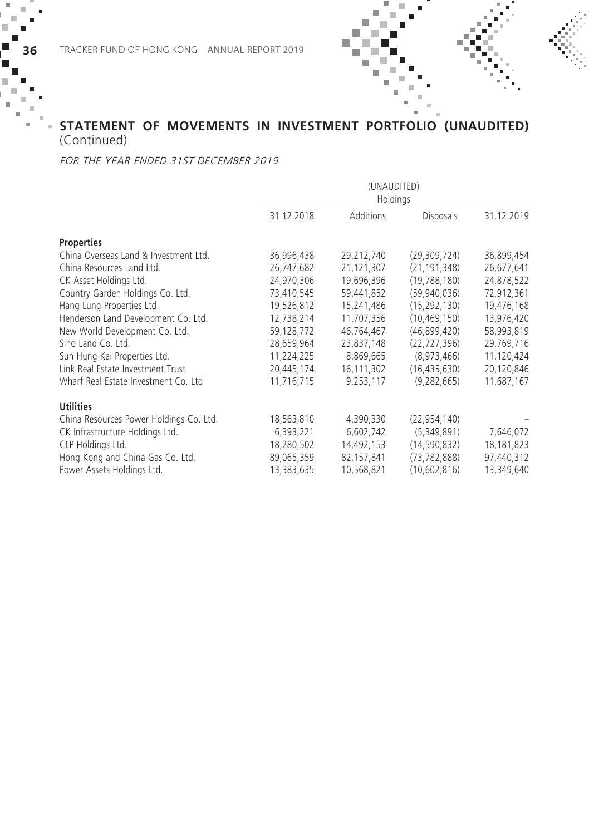### **STATEMENT OF MOVEMENTS IN INVESTMENT PORTFOLIO (UNAUDITED)**  (Continued)

#### FOR THE YEAR ENDED 31ST DECEMBER 2019

|                                         | (UNAUDITED)<br>Holdings |            |                  |            |
|-----------------------------------------|-------------------------|------------|------------------|------------|
|                                         | 31.12.2018              | Additions  | <b>Disposals</b> | 31.12.2019 |
| <b>Properties</b>                       |                         |            |                  |            |
| China Overseas Land & Investment Ltd.   | 36,996,438              | 29,212,740 | (29, 309, 724)   | 36,899,454 |
| China Resources Land Ltd.               | 26,747,682              | 21,121,307 | (21, 191, 348)   | 26,677,641 |
| CK Asset Holdings Ltd.                  | 24,970,306              | 19,696,396 | (19, 788, 180)   | 24,878,522 |
| Country Garden Holdings Co. Ltd.        | 73,410,545              | 59,441,852 | (59,940,036)     | 72,912,361 |
| Hang Lung Properties Ltd.               | 19.526.812              | 15.241.486 | (15.292.130)     | 19,476,168 |
| Henderson Land Development Co. Ltd.     | 12,738,214              | 11,707,356 | (10, 469, 150)   | 13,976,420 |
| New World Development Co. Ltd.          | 59,128,772              | 46,764,467 | (46,899,420)     | 58,993,819 |
| Sino Land Co. Ltd.                      | 28,659,964              | 23,837,148 | (22, 727, 396)   | 29,769,716 |
| Sun Hung Kai Properties Ltd.            | 11,224,225              | 8,869,665  | (8,973,466)      | 11,120,424 |
| Link Real Estate Investment Trust       | 20,445,174              | 16,111,302 | (16, 435, 630)   | 20,120,846 |
| Wharf Real Estate Investment Co. Ltd    | 11,716,715              | 9,253,117  | (9, 282, 665)    | 11,687,167 |
| <b>Utilities</b>                        |                         |            |                  |            |
| China Resources Power Holdings Co. Ltd. | 18,563,810              | 4,390,330  | (22, 954, 140)   |            |
| CK Infrastructure Holdings Ltd.         | 6,393,221               | 6,602,742  | (5,349,891)      | 7,646,072  |
| CLP Holdings Ltd.                       | 18,280,502              | 14,492,153 | (14, 590, 832)   | 18,181,823 |
| Hong Kong and China Gas Co. Ltd.        | 89,065,359              | 82,157,841 | (73, 782, 888)   | 97,440,312 |
| Power Assets Holdings Ltd.              | 13,383,635              | 10,568,821 | (10,602,816)     | 13,349,640 |

 $\blacksquare$ × ш

п × ×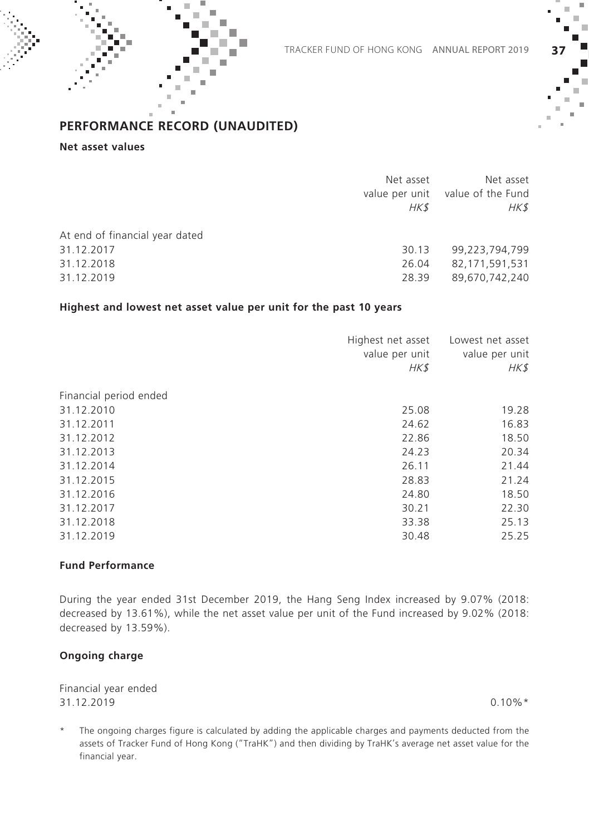

#### **Net asset values**

|                                | Net asset<br>HK\$ | Net asset<br>value per unit value of the Fund<br>HK\$ |
|--------------------------------|-------------------|-------------------------------------------------------|
| At end of financial year dated |                   |                                                       |
| 31.12.2017                     | 30.13             | 99,223,794,799                                        |
| 31.12.2018                     | 26.04             | 82,171,591,531                                        |
| 31.12.2019                     | 28.39             | 89,670,742,240                                        |
|                                |                   |                                                       |

#### **Highest and lowest net asset value per unit for the past 10 years**

|                        | Highest net asset<br>value per unit<br>HK\$ | Lowest net asset<br>value per unit<br>HK\$ |
|------------------------|---------------------------------------------|--------------------------------------------|
| Financial period ended |                                             |                                            |
| 31.12.2010             | 25.08                                       | 19.28                                      |
| 31.12.2011             | 24.62                                       | 16.83                                      |
| 31.12.2012             | 22.86                                       | 18.50                                      |
| 31.12.2013             | 24.23                                       | 20.34                                      |
| 31.12.2014             | 26.11                                       | 21.44                                      |
| 31.12.2015             | 28.83                                       | 21.24                                      |
| 31.12.2016             | 24.80                                       | 18.50                                      |
| 31.12.2017             | 30.21                                       | 22.30                                      |
| 31.12.2018             | 33.38                                       | 25.13                                      |
| 31.12.2019             | 30.48                                       | 25.25                                      |

#### **Fund Performance**

During the year ended 31st December 2019, the Hang Seng Index increased by 9.07% (2018: decreased by 13.61%), while the net asset value per unit of the Fund increased by 9.02% (2018: decreased by 13.59%).

#### **Ongoing charge**

Financial year ended  $31.12.2019$  0.10%  $*$ 

The ongoing charges figure is calculated by adding the applicable charges and payments deducted from the assets of Tracker Fund of Hong Kong ("TraHK") and then dividing by TraHK's average net asset value for the financial year.